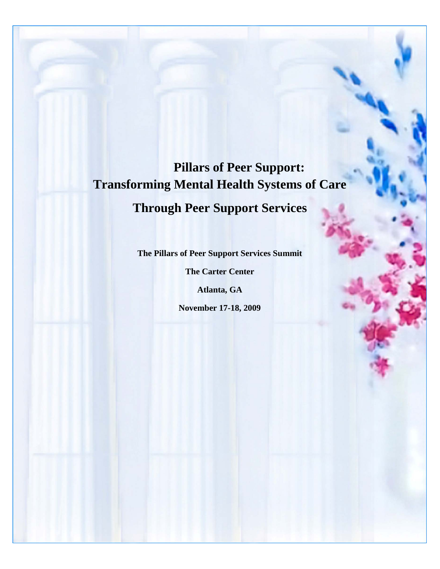# **Pillars of Peer Support: Transforming Mental Health Systems of Care Through Peer Support Services**

**The Pillars of Peer Support Services Summit**

**The Carter Center**

**Atlanta, GA**

**November 17-18, 2009**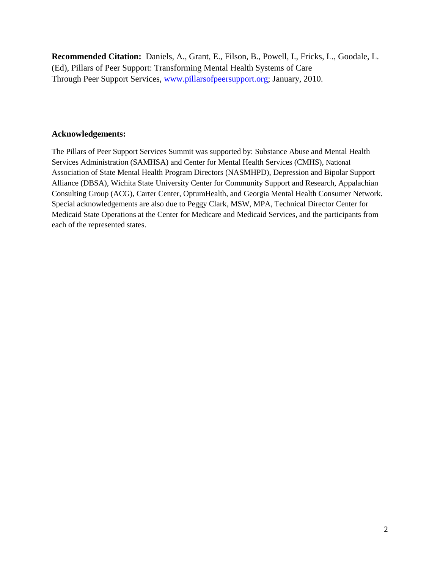**Recommended Citation:** Daniels, A., Grant, E., Filson, B., Powell, I., Fricks, L., Goodale, L. (Ed), Pillars of Peer Support: Transforming Mental Health Systems of Care Through Peer Support Services, [www.pillarsofpeersupport.org;](http://www.pillarsofpeersupport.org/) January, 2010.

## **Acknowledgements:**

The Pillars of Peer Support Services Summit was supported by: Substance Abuse and Mental Health Services Administration (SAMHSA) and Center for Mental Health Services (CMHS), National Association of State Mental Health Program Directors (NASMHPD), Depression and Bipolar Support Alliance (DBSA), Wichita State University Center for Community Support and Research, Appalachian Consulting Group (ACG), Carter Center, OptumHealth, and Georgia Mental Health Consumer Network. Special acknowledgements are also due to Peggy Clark, MSW, MPA, Technical Director Center for Medicaid State Operations at the Center for Medicare and Medicaid Services, and the participants from each of the represented states.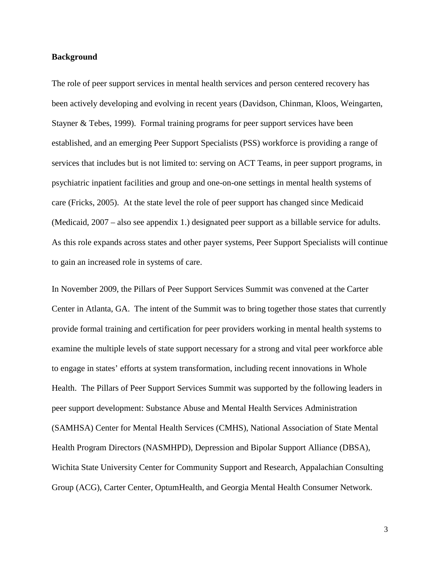#### **Background**

The role of peer support services in mental health services and person centered recovery has been actively developing and evolving in recent years (Davidson, Chinman, Kloos, Weingarten, Stayner & Tebes, 1999). Formal training programs for peer support services have been established, and an emerging Peer Support Specialists (PSS) workforce is providing a range of services that includes but is not limited to: serving on ACT Teams, in peer support programs, in psychiatric inpatient facilities and group and one-on-one settings in mental health systems of care (Fricks, 2005). At the state level the role of peer support has changed since Medicaid (Medicaid, 2007 – also see appendix 1.) designated peer support as a billable service for adults. As this role expands across states and other payer systems, Peer Support Specialists will continue to gain an increased role in systems of care.

In November 2009, the Pillars of Peer Support Services Summit was convened at the Carter Center in Atlanta, GA. The intent of the Summit was to bring together those states that currently provide formal training and certification for peer providers working in mental health systems to examine the multiple levels of state support necessary for a strong and vital peer workforce able to engage in states' efforts at system transformation, including recent innovations in Whole Health. The Pillars of Peer Support Services Summit was supported by the following leaders in peer support development: Substance Abuse and Mental Health Services Administration (SAMHSA) Center for Mental Health Services (CMHS), National Association of State Mental Health Program Directors (NASMHPD), Depression and Bipolar Support Alliance (DBSA), Wichita State University Center for Community Support and Research, Appalachian Consulting Group (ACG), Carter Center, OptumHealth, and Georgia Mental Health Consumer Network.

3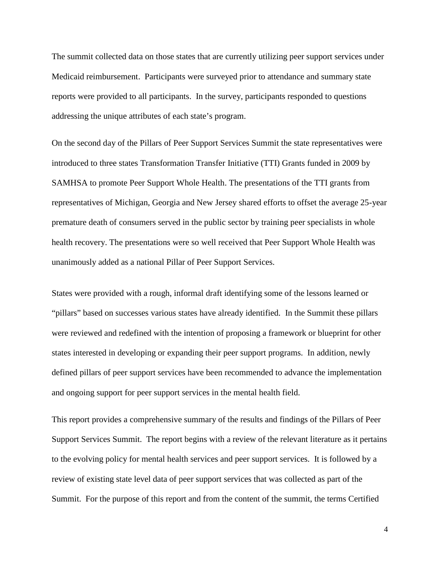The summit collected data on those states that are currently utilizing peer support services under Medicaid reimbursement. Participants were surveyed prior to attendance and summary state reports were provided to all participants. In the survey, participants responded to questions addressing the unique attributes of each state's program.

On the second day of the Pillars of Peer Support Services Summit the state representatives were introduced to three states Transformation Transfer Initiative (TTI) Grants funded in 2009 by SAMHSA to promote Peer Support Whole Health. The presentations of the TTI grants from representatives of Michigan, Georgia and New Jersey shared efforts to offset the average 25-year premature death of consumers served in the public sector by training peer specialists in whole health recovery. The presentations were so well received that Peer Support Whole Health was unanimously added as a national Pillar of Peer Support Services.

States were provided with a rough, informal draft identifying some of the lessons learned or "pillars" based on successes various states have already identified. In the Summit these pillars were reviewed and redefined with the intention of proposing a framework or blueprint for other states interested in developing or expanding their peer support programs. In addition, newly defined pillars of peer support services have been recommended to advance the implementation and ongoing support for peer support services in the mental health field.

This report provides a comprehensive summary of the results and findings of the Pillars of Peer Support Services Summit. The report begins with a review of the relevant literature as it pertains to the evolving policy for mental health services and peer support services. It is followed by a review of existing state level data of peer support services that was collected as part of the Summit. For the purpose of this report and from the content of the summit, the terms Certified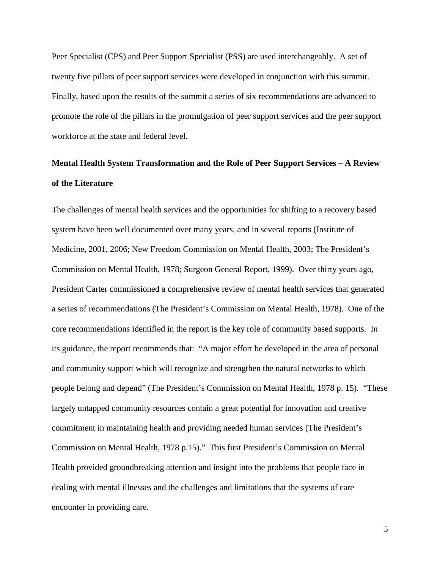Peer Specialist (CPS) and Peer Support Specialist (PSS) are used interchangeably. A set of twenty five pillars of peer support services were developed in conjunction with this summit. Finally, based upon the results of the summit a series of six recommendations are advanced to promote the role of the pillars in the promulgation of peer support services and the peer support workforce at the state and federal level.

## **Mental Health System Transformation and the Role of Peer Support Services – A Review of the Literature**

The challenges of mental health services and the opportunities for shifting to a recovery based system have been well documented over many years, and in several reports (Institute of Medicine, 2001, 2006; New Freedom Commission on Mental Health, 2003; The President's Commission on Mental Health, 1978; Surgeon General Report, 1999). Over thirty years ago, President Carter commissioned a comprehensive review of mental health services that generated a series of recommendations (The President's Commission on Mental Health, 1978). One of the core recommendations identified in the report is the key role of community based supports. In its guidance, the report recommends that: "A major effort be developed in the area of personal and community support which will recognize and strengthen the natural networks to which people belong and depend" (The President's Commission on Mental Health, 1978 p. 15). "These largely untapped community resources contain a great potential for innovation and creative commitment in maintaining health and providing needed human services (The President's Commission on Mental Health, 1978 p.15)." This first President's Commission on Mental Health provided groundbreaking attention and insight into the problems that people face in dealing with mental illnesses and the challenges and limitations that the systems of care encounter in providing care.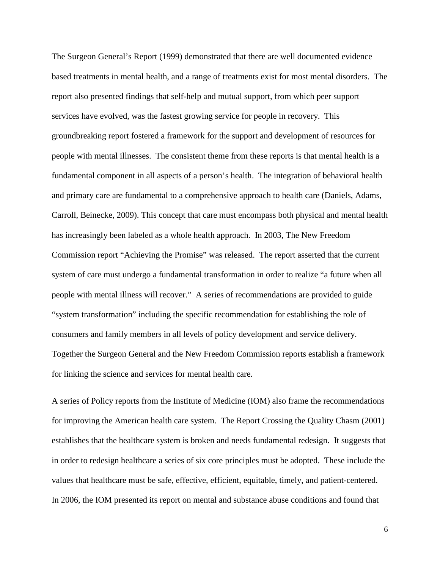The Surgeon General's Report (1999) demonstrated that there are well documented evidence based treatments in mental health, and a range of treatments exist for most mental disorders. The report also presented findings that self-help and mutual support, from which peer support services have evolved, was the fastest growing service for people in recovery. This groundbreaking report fostered a framework for the support and development of resources for people with mental illnesses. The consistent theme from these reports is that mental health is a fundamental component in all aspects of a person's health. The integration of behavioral health and primary care are fundamental to a comprehensive approach to health care (Daniels, Adams, Carroll, Beinecke, 2009). This concept that care must encompass both physical and mental health has increasingly been labeled as a whole health approach. In 2003, The New Freedom Commission report "Achieving the Promise" was released. The report asserted that the current system of care must undergo a fundamental transformation in order to realize "a future when all people with mental illness will recover." A series of recommendations are provided to guide "system transformation" including the specific recommendation for establishing the role of consumers and family members in all levels of policy development and service delivery. Together the Surgeon General and the New Freedom Commission reports establish a framework for linking the science and services for mental health care.

A series of Policy reports from the Institute of Medicine (IOM) also frame the recommendations for improving the American health care system. The Report Crossing the Quality Chasm (2001) establishes that the healthcare system is broken and needs fundamental redesign. It suggests that in order to redesign healthcare a series of six core principles must be adopted. These include the values that healthcare must be safe, effective, efficient, equitable, timely, and patient-centered. In 2006, the IOM presented its report on mental and substance abuse conditions and found that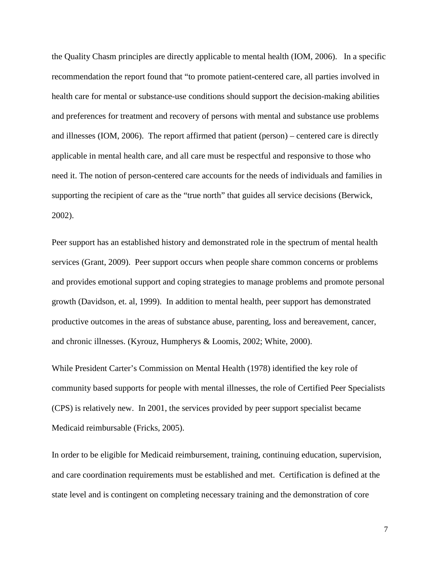the Quality Chasm principles are directly applicable to mental health (IOM, 2006). In a specific recommendation the report found that "to promote patient-centered care, all parties involved in health care for mental or substance-use conditions should support the decision-making abilities and preferences for treatment and recovery of persons with mental and substance use problems and illnesses (IOM, 2006). The report affirmed that patient (person) – centered care is directly applicable in mental health care, and all care must be respectful and responsive to those who need it. The notion of person-centered care accounts for the needs of individuals and families in supporting the recipient of care as the "true north" that guides all service decisions (Berwick, 2002).

Peer support has an established history and demonstrated role in the spectrum of mental health services (Grant, 2009). Peer support occurs when people share common concerns or problems and provides emotional support and coping strategies to manage problems and promote personal growth (Davidson, et. al, 1999). In addition to mental health, peer support has demonstrated productive outcomes in the areas of substance abuse, parenting, loss and bereavement, cancer, and chronic illnesses. (Kyrouz, Humpherys & Loomis, 2002; White, 2000).

While President Carter's Commission on Mental Health (1978) identified the key role of community based supports for people with mental illnesses, the role of Certified Peer Specialists (CPS) is relatively new. In 2001, the services provided by peer support specialist became Medicaid reimbursable (Fricks, 2005).

In order to be eligible for Medicaid reimbursement, training, continuing education, supervision, and care coordination requirements must be established and met. Certification is defined at the state level and is contingent on completing necessary training and the demonstration of core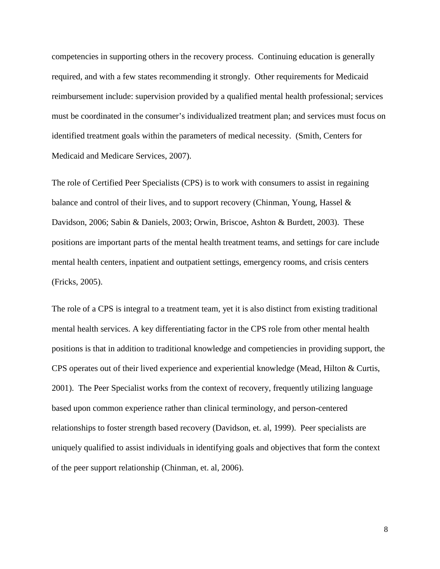competencies in supporting others in the recovery process. Continuing education is generally required, and with a few states recommending it strongly. Other requirements for Medicaid reimbursement include: supervision provided by a qualified mental health professional; services must be coordinated in the consumer's individualized treatment plan; and services must focus on identified treatment goals within the parameters of medical necessity. (Smith, Centers for Medicaid and Medicare Services, 2007).

The role of Certified Peer Specialists (CPS) is to work with consumers to assist in regaining balance and control of their lives, and to support recovery (Chinman, Young, Hassel & Davidson, 2006; Sabin & Daniels, 2003; Orwin, Briscoe, Ashton & Burdett, 2003). These positions are important parts of the mental health treatment teams, and settings for care include mental health centers, inpatient and outpatient settings, emergency rooms, and crisis centers (Fricks, 2005).

The role of a CPS is integral to a treatment team, yet it is also distinct from existing traditional mental health services. A key differentiating factor in the CPS role from other mental health positions is that in addition to traditional knowledge and competiencies in providing support, the CPS operates out of their lived experience and experiential knowledge (Mead, Hilton & Curtis, 2001). The Peer Specialist works from the context of recovery, frequently utilizing language based upon common experience rather than clinical terminology, and person-centered relationships to foster strength based recovery (Davidson, et. al, 1999). Peer specialists are uniquely qualified to assist individuals in identifying goals and objectives that form the context of the peer support relationship (Chinman, et. al, 2006).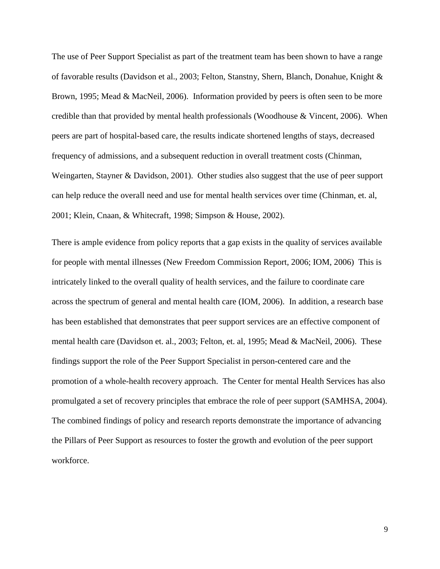The use of Peer Support Specialist as part of the treatment team has been shown to have a range of favorable results (Davidson et al., 2003; Felton, Stanstny, Shern, Blanch, Donahue, Knight & Brown, 1995; Mead & MacNeil, 2006). Information provided by peers is often seen to be more credible than that provided by mental health professionals (Woodhouse & Vincent, 2006). When peers are part of hospital-based care, the results indicate shortened lengths of stays, decreased frequency of admissions, and a subsequent reduction in overall treatment costs (Chinman, Weingarten, Stayner & Davidson, 2001). Other studies also suggest that the use of peer support can help reduce the overall need and use for mental health services over time (Chinman, et. al, 2001; Klein, Cnaan, & Whitecraft, 1998; Simpson & House, 2002).

There is ample evidence from policy reports that a gap exists in the quality of services available for people with mental illnesses (New Freedom Commission Report, 2006; IOM, 2006) This is intricately linked to the overall quality of health services, and the failure to coordinate care across the spectrum of general and mental health care (IOM, 2006). In addition, a research base has been established that demonstrates that peer support services are an effective component of mental health care (Davidson et. al., 2003; Felton, et. al, 1995; Mead & MacNeil, 2006). These findings support the role of the Peer Support Specialist in person-centered care and the promotion of a whole-health recovery approach. The Center for mental Health Services has also promulgated a set of recovery principles that embrace the role of peer support (SAMHSA, 2004). The combined findings of policy and research reports demonstrate the importance of advancing the Pillars of Peer Support as resources to foster the growth and evolution of the peer support workforce.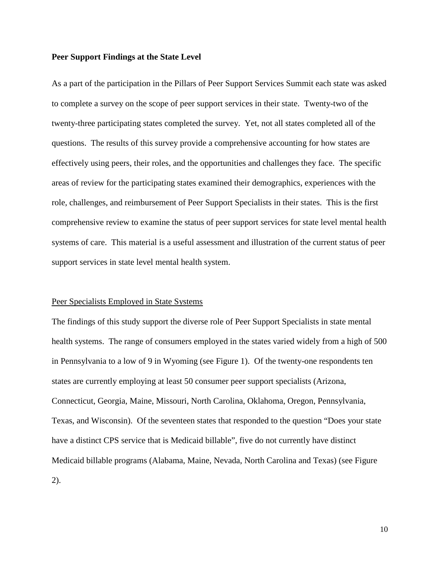#### **Peer Support Findings at the State Level**

As a part of the participation in the Pillars of Peer Support Services Summit each state was asked to complete a survey on the scope of peer support services in their state. Twenty-two of the twenty-three participating states completed the survey. Yet, not all states completed all of the questions. The results of this survey provide a comprehensive accounting for how states are effectively using peers, their roles, and the opportunities and challenges they face. The specific areas of review for the participating states examined their demographics, experiences with the role, challenges, and reimbursement of Peer Support Specialists in their states. This is the first comprehensive review to examine the status of peer support services for state level mental health systems of care. This material is a useful assessment and illustration of the current status of peer support services in state level mental health system.

#### Peer Specialists Employed in State Systems

The findings of this study support the diverse role of Peer Support Specialists in state mental health systems. The range of consumers employed in the states varied widely from a high of 500 in Pennsylvania to a low of 9 in Wyoming (see Figure 1). Of the twenty-one respondents ten states are currently employing at least 50 consumer peer support specialists (Arizona, Connecticut, Georgia, Maine, Missouri, North Carolina, Oklahoma, Oregon, Pennsylvania, Texas, and Wisconsin). Of the seventeen states that responded to the question "Does your state have a distinct CPS service that is Medicaid billable", five do not currently have distinct Medicaid billable programs (Alabama, Maine, Nevada, North Carolina and Texas) (see Figure 2).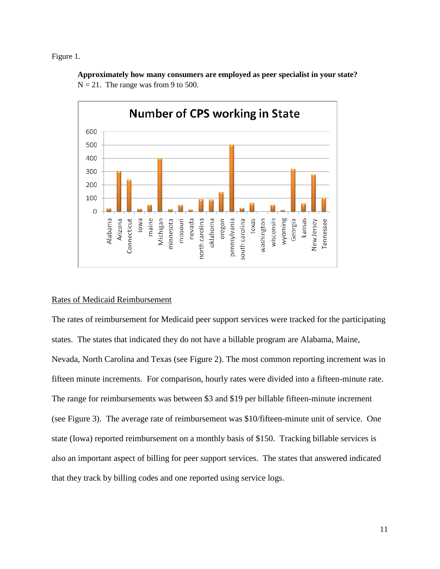Figure 1.



**Approximately how many consumers are employed as peer specialist in your state?**  $N = 21$ . The range was from 9 to 500.

## Rates of Medicaid Reimbursement

The rates of reimbursement for Medicaid peer support services were tracked for the participating states. The states that indicated they do not have a billable program are Alabama, Maine, Nevada, North Carolina and Texas (see Figure 2). The most common reporting increment was in fifteen minute increments. For comparison, hourly rates were divided into a fifteen-minute rate. The range for reimbursements was between \$3 and \$19 per billable fifteen-minute increment (see Figure 3). The average rate of reimbursement was \$10/fifteen-minute unit of service. One state (Iowa) reported reimbursement on a monthly basis of \$150. Tracking billable services is also an important aspect of billing for peer support services. The states that answered indicated that they track by billing codes and one reported using service logs.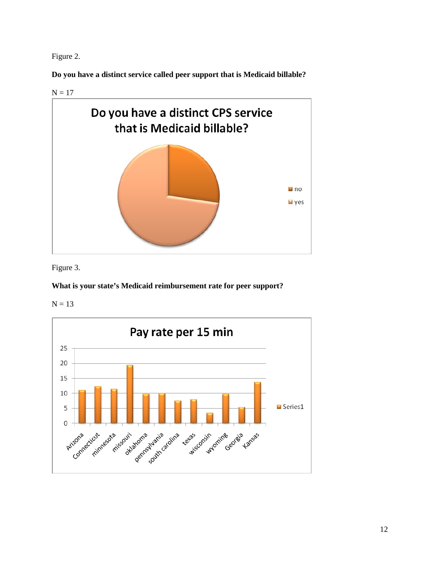Figure 2.

**Do you have a distinct service called peer support that is Medicaid billable?**

 $N = 17$ 



Figure 3.

## **What is your state's Medicaid reimbursement rate for peer support?**

 $N = 13$ 

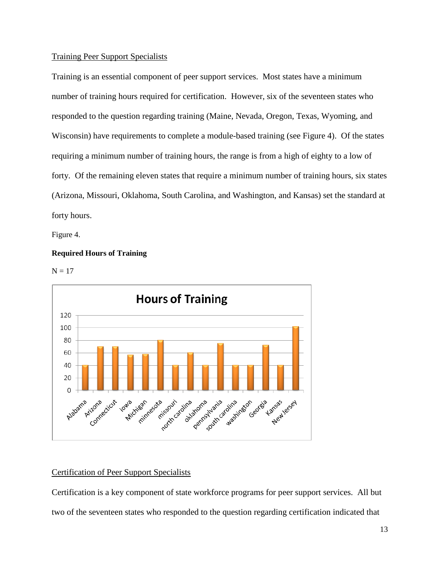#### Training Peer Support Specialists

Training is an essential component of peer support services. Most states have a minimum number of training hours required for certification. However, six of the seventeen states who responded to the question regarding training (Maine, Nevada, Oregon, Texas, Wyoming, and Wisconsin) have requirements to complete a module-based training (see Figure 4). Of the states requiring a minimum number of training hours, the range is from a high of eighty to a low of forty. Of the remaining eleven states that require a minimum number of training hours, six states (Arizona, Missouri, Oklahoma, South Carolina, and Washington, and Kansas) set the standard at forty hours.

Figure 4.

## **Required Hours of Training**





## Certification of Peer Support Specialists

Certification is a key component of state workforce programs for peer support services. All but two of the seventeen states who responded to the question regarding certification indicated that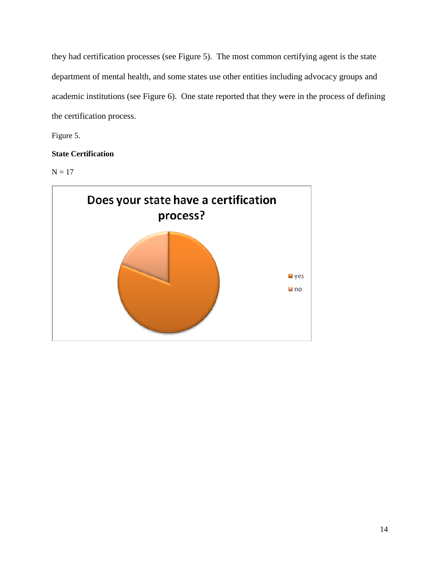they had certification processes (see Figure 5). The most common certifying agent is the state department of mental health, and some states use other entities including advocacy groups and academic institutions (see Figure 6). One state reported that they were in the process of defining the certification process.

Figure 5.

## **State Certification**

 $N = 17$ 

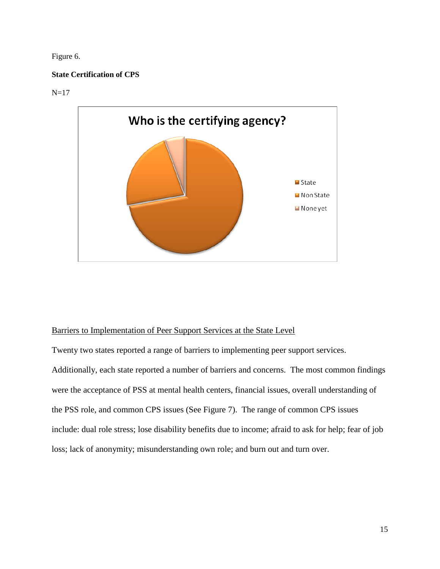Figure 6.

## **State Certification of CPS**

 $N=17$ 



## Barriers to Implementation of Peer Support Services at the State Level

Twenty two states reported a range of barriers to implementing peer support services. Additionally, each state reported a number of barriers and concerns. The most common findings were the acceptance of PSS at mental health centers, financial issues, overall understanding of the PSS role, and common CPS issues (See Figure 7). The range of common CPS issues include: dual role stress; lose disability benefits due to income; afraid to ask for help; fear of job loss; lack of anonymity; misunderstanding own role; and burn out and turn over.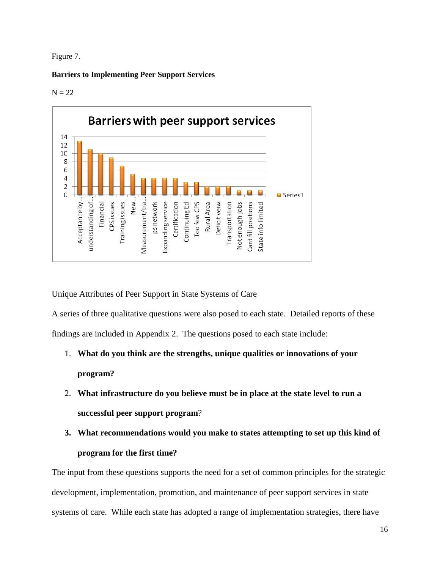#### Figure 7.

#### **Barriers to Implementing Peer Support Services**

#### $N = 22$



## Unique Attributes of Peer Support in State Systems of Care

A series of three qualitative questions were also posed to each state. Detailed reports of these findings are included in Appendix 2. The questions posed to each state include:

- 1. **What do you think are the strengths, unique qualities or innovations of your program?**
- 2. **What infrastructure do you believe must be in place at the state level to run a successful peer support program**?
- **3. What recommendations would you make to states attempting to set up this kind of program for the first time?**

The input from these questions supports the need for a set of common principles for the strategic development, implementation, promotion, and maintenance of peer support services in state systems of care. While each state has adopted a range of implementation strategies, there have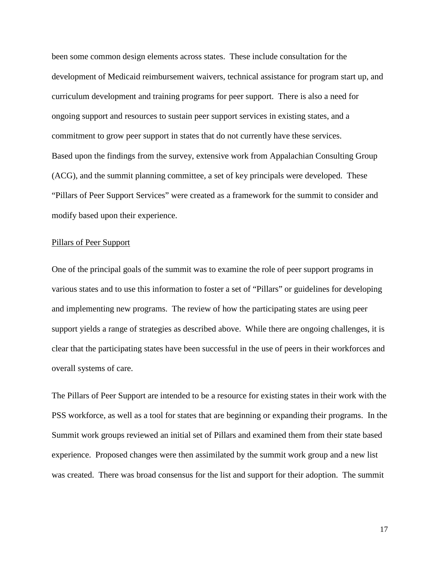been some common design elements across states. These include consultation for the development of Medicaid reimbursement waivers, technical assistance for program start up, and curriculum development and training programs for peer support. There is also a need for ongoing support and resources to sustain peer support services in existing states, and a commitment to grow peer support in states that do not currently have these services. Based upon the findings from the survey, extensive work from Appalachian Consulting Group (ACG), and the summit planning committee, a set of key principals were developed. These "Pillars of Peer Support Services" were created as a framework for the summit to consider and modify based upon their experience.

#### Pillars of Peer Support

One of the principal goals of the summit was to examine the role of peer support programs in various states and to use this information to foster a set of "Pillars" or guidelines for developing and implementing new programs. The review of how the participating states are using peer support yields a range of strategies as described above. While there are ongoing challenges, it is clear that the participating states have been successful in the use of peers in their workforces and overall systems of care.

The Pillars of Peer Support are intended to be a resource for existing states in their work with the PSS workforce, as well as a tool for states that are beginning or expanding their programs. In the Summit work groups reviewed an initial set of Pillars and examined them from their state based experience. Proposed changes were then assimilated by the summit work group and a new list was created. There was broad consensus for the list and support for their adoption. The summit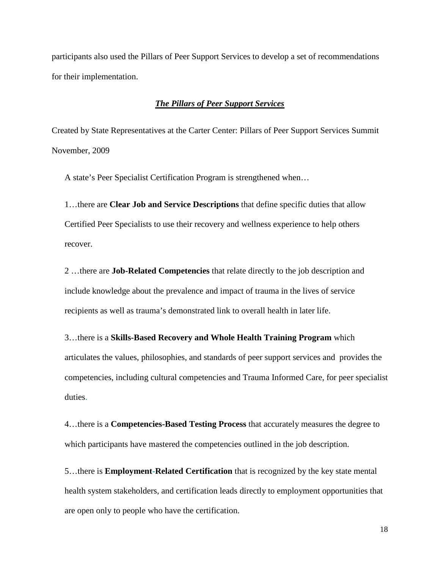participants also used the Pillars of Peer Support Services to develop a set of recommendations for their implementation.

#### *The Pillars of Peer Support Services*

Created by State Representatives at the Carter Center: Pillars of Peer Support Services Summit November, 2009

A state's Peer Specialist Certification Program is strengthened when…

1…there are **Clear Job and Service Descriptions** that define specific duties that allow Certified Peer Specialists to use their recovery and wellness experience to help others recover.

2 …there are **Job-Related Competencies** that relate directly to the job description and include knowledge about the prevalence and impact of trauma in the lives of service recipients as well as trauma's demonstrated link to overall health in later life.

3…there is a **Skills-Based Recovery and Whole Health Training Program** which articulates the values, philosophies, and standards of peer support services and provides the competencies, including cultural competencies and Trauma Informed Care, for peer specialist duties.

4…there is a **Competencies-Based Testing Process** that accurately measures the degree to which participants have mastered the competencies outlined in the job description.

5…there is **Employment-Related Certification** that is recognized by the key state mental health system stakeholders, and certification leads directly to employment opportunities that are open only to people who have the certification.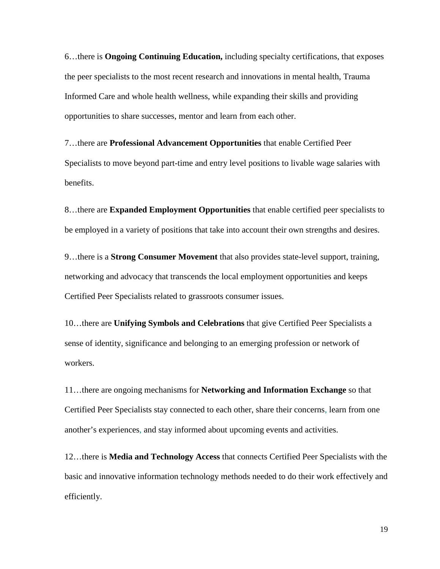6…there is **Ongoing Continuing Education,** including specialty certifications, that exposes the peer specialists to the most recent research and innovations in mental health, Trauma Informed Care and whole health wellness, while expanding their skills and providing opportunities to share successes, mentor and learn from each other.

7…there are **Professional Advancement Opportunities** that enable Certified Peer Specialists to move beyond part-time and entry level positions to livable wage salaries with benefits.

8…there are **Expanded Employment Opportunities** that enable certified peer specialists to be employed in a variety of positions that take into account their own strengths and desires.

9…there is a **Strong Consumer Movement** that also provides state-level support, training, networking and advocacy that transcends the local employment opportunities and keeps Certified Peer Specialists related to grassroots consumer issues.

10…there are **Unifying Symbols and Celebrations** that give Certified Peer Specialists a sense of identity, significance and belonging to an emerging profession or network of workers.

11…there are ongoing mechanisms for **Networking and Information Exchange** so that Certified Peer Specialists stay connected to each other, share their concerns, learn from one another's experiences, and stay informed about upcoming events and activities.

12…there is **Media and Technology Access** that connects Certified Peer Specialists with the basic and innovative information technology methods needed to do their work effectively and efficiently.

19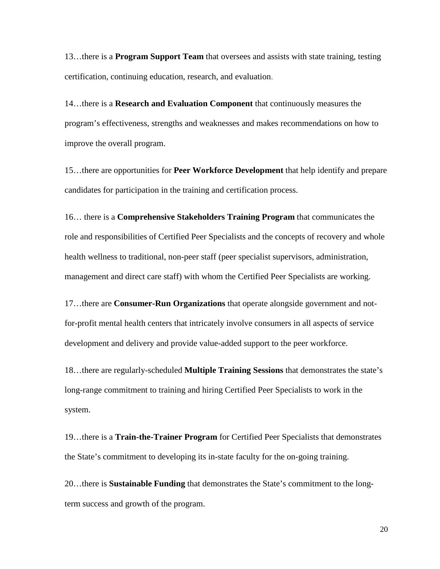13…there is a **Program Support Team** that oversees and assists with state training, testing certification, continuing education, research, and evaluation.

14…there is a **Research and Evaluation Component** that continuously measures the program's effectiveness, strengths and weaknesses and makes recommendations on how to improve the overall program.

15…there are opportunities for **Peer Workforce Development** that help identify and prepare candidates for participation in the training and certification process.

16… there is a **Comprehensive Stakeholders Training Program** that communicates the role and responsibilities of Certified Peer Specialists and the concepts of recovery and whole health wellness to traditional, non-peer staff (peer specialist supervisors, administration, management and direct care staff) with whom the Certified Peer Specialists are working.

17…there are **Consumer-Run Organizations** that operate alongside government and notfor-profit mental health centers that intricately involve consumers in all aspects of service development and delivery and provide value-added support to the peer workforce.

18…there are regularly-scheduled **Multiple Training Sessions** that demonstrates the state's long-range commitment to training and hiring Certified Peer Specialists to work in the system.

19…there is a **Train-the-Trainer Program** for Certified Peer Specialists that demonstrates the State's commitment to developing its in-state faculty for the on-going training.

20…there is **Sustainable Funding** that demonstrates the State's commitment to the longterm success and growth of the program.

20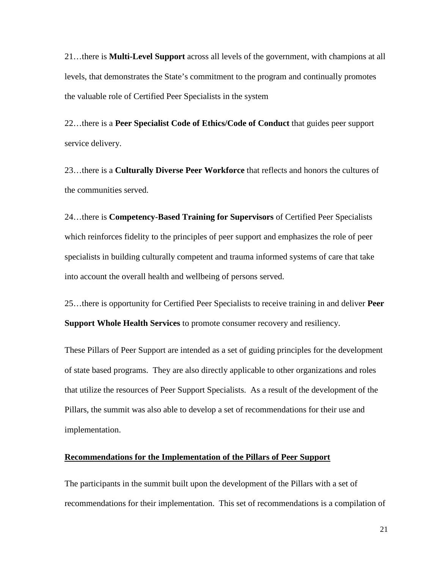21…there is **Multi-Level Support** across all levels of the government, with champions at all levels, that demonstrates the State's commitment to the program and continually promotes the valuable role of Certified Peer Specialists in the system

22…there is a **Peer Specialist Code of Ethics/Code of Conduct** that guides peer support service delivery.

23…there is a **Culturally Diverse Peer Workforce** that reflects and honors the cultures of the communities served.

24…there is **Competency-Based Training for Supervisors** of Certified Peer Specialists which reinforces fidelity to the principles of peer support and emphasizes the role of peer specialists in building culturally competent and trauma informed systems of care that take into account the overall health and wellbeing of persons served.

25…there is opportunity for Certified Peer Specialists to receive training in and deliver **Peer Support Whole Health Services** to promote consumer recovery and resiliency.

These Pillars of Peer Support are intended as a set of guiding principles for the development of state based programs. They are also directly applicable to other organizations and roles that utilize the resources of Peer Support Specialists. As a result of the development of the Pillars, the summit was also able to develop a set of recommendations for their use and implementation.

#### **Recommendations for the Implementation of the Pillars of Peer Support**

The participants in the summit built upon the development of the Pillars with a set of recommendations for their implementation. This set of recommendations is a compilation of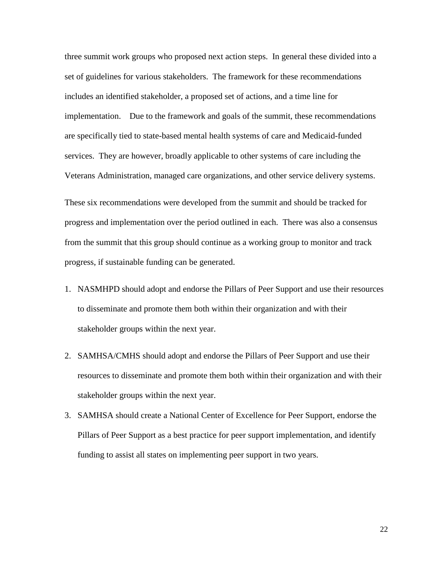three summit work groups who proposed next action steps. In general these divided into a set of guidelines for various stakeholders. The framework for these recommendations includes an identified stakeholder, a proposed set of actions, and a time line for implementation. Due to the framework and goals of the summit, these recommendations are specifically tied to state-based mental health systems of care and Medicaid-funded services. They are however, broadly applicable to other systems of care including the Veterans Administration, managed care organizations, and other service delivery systems.

These six recommendations were developed from the summit and should be tracked for progress and implementation over the period outlined in each. There was also a consensus from the summit that this group should continue as a working group to monitor and track progress, if sustainable funding can be generated.

- 1. NASMHPD should adopt and endorse the Pillars of Peer Support and use their resources to disseminate and promote them both within their organization and with their stakeholder groups within the next year.
- 2. SAMHSA/CMHS should adopt and endorse the Pillars of Peer Support and use their resources to disseminate and promote them both within their organization and with their stakeholder groups within the next year.
- 3. SAMHSA should create a National Center of Excellence for Peer Support, endorse the Pillars of Peer Support as a best practice for peer support implementation, and identify funding to assist all states on implementing peer support in two years.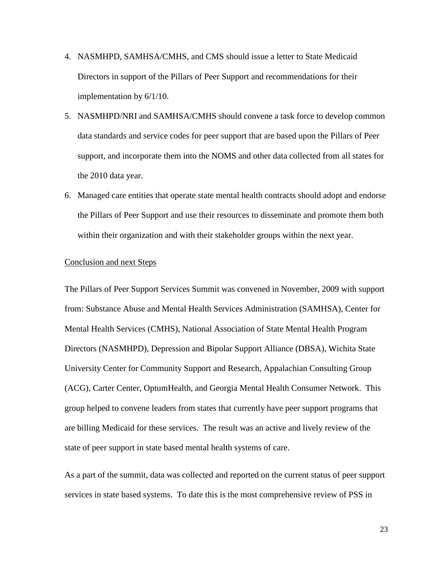- 4. NASMHPD, SAMHSA/CMHS, and CMS should issue a letter to State Medicaid Directors in support of the Pillars of Peer Support and recommendations for their implementation by 6/1/10.
- 5. NASMHPD/NRI and SAMHSA/CMHS should convene a task force to develop common data standards and service codes for peer support that are based upon the Pillars of Peer support, and incorporate them into the NOMS and other data collected from all states for the 2010 data year.
- 6. Managed care entities that operate state mental health contracts should adopt and endorse the Pillars of Peer Support and use their resources to disseminate and promote them both within their organization and with their stakeholder groups within the next year.

#### Conclusion and next Steps

The Pillars of Peer Support Services Summit was convened in November, 2009 with support from: Substance Abuse and Mental Health Services Administration (SAMHSA), Center for Mental Health Services (CMHS), National Association of State Mental Health Program Directors (NASMHPD), Depression and Bipolar Support Alliance (DBSA), Wichita State University Center for Community Support and Research, Appalachian Consulting Group (ACG), Carter Center, OptumHealth, and Georgia Mental Health Consumer Network. This group helped to convene leaders from states that currently have peer support programs that are billing Medicaid for these services. The result was an active and lively review of the state of peer support in state based mental health systems of care.

As a part of the summit, data was collected and reported on the current status of peer support services in state based systems. To date this is the most comprehensive review of PSS in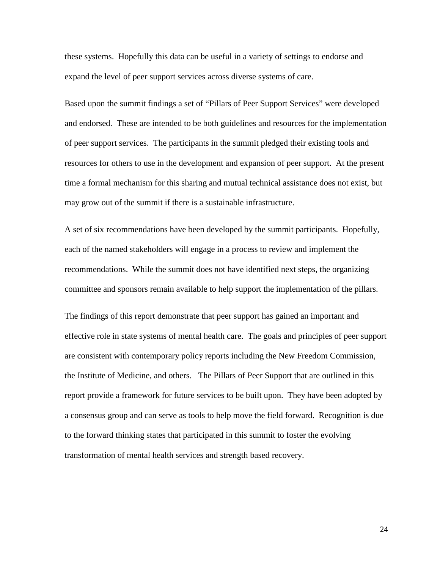these systems. Hopefully this data can be useful in a variety of settings to endorse and expand the level of peer support services across diverse systems of care.

Based upon the summit findings a set of "Pillars of Peer Support Services" were developed and endorsed. These are intended to be both guidelines and resources for the implementation of peer support services. The participants in the summit pledged their existing tools and resources for others to use in the development and expansion of peer support. At the present time a formal mechanism for this sharing and mutual technical assistance does not exist, but may grow out of the summit if there is a sustainable infrastructure.

A set of six recommendations have been developed by the summit participants. Hopefully, each of the named stakeholders will engage in a process to review and implement the recommendations. While the summit does not have identified next steps, the organizing committee and sponsors remain available to help support the implementation of the pillars.

The findings of this report demonstrate that peer support has gained an important and effective role in state systems of mental health care. The goals and principles of peer support are consistent with contemporary policy reports including the New Freedom Commission, the Institute of Medicine, and others. The Pillars of Peer Support that are outlined in this report provide a framework for future services to be built upon. They have been adopted by a consensus group and can serve as tools to help move the field forward. Recognition is due to the forward thinking states that participated in this summit to foster the evolving transformation of mental health services and strength based recovery.

24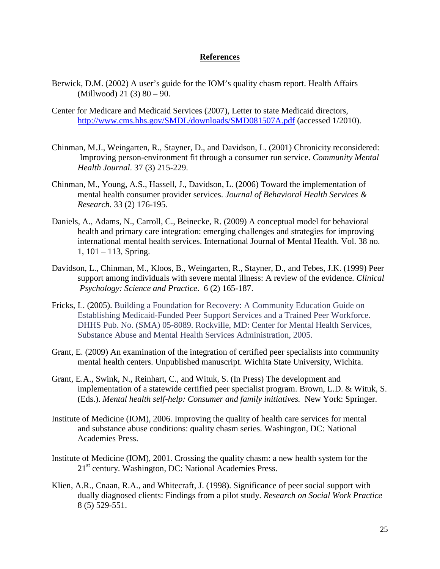#### **References**

- Berwick, D.M. (2002) A user's guide for the IOM's quality chasm report. Health Affairs (Millwood) 21 (3) 80 – 90.
- Center for Medicare and Medicaid Services (2007), Letter to state Medicaid directors, <http://www.cms.hhs.gov/SMDL/downloads/SMD081507A.pdf> (accessed 1/2010).
- Chinman, M.J., Weingarten, R., Stayner, D., and Davidson, L. (2001) Chronicity reconsidered: Improving person-environment fit through a consumer run service. *Community Mental Health Journal*. 37 (3) 215-229.
- Chinman, M., Young, A.S., Hassell, J., Davidson, L. (2006) Toward the implementation of mental health consumer provider services. *Journal of Behavioral Health Services & Research*. 33 (2) 176-195.
- Daniels, A., Adams, N., Carroll, C., Beinecke, R. (2009) A conceptual model for behavioral health and primary care integration: emerging challenges and strategies for improving international mental health services. International Journal of Mental Health. Vol. 38 no. 1, 101 – 113, Spring.
- Davidson, L., Chinman, M., Kloos, B., Weingarten, R., Stayner, D., and Tebes, J.K. (1999) Peer support among individuals with severe mental illness: A review of the evidence. *Clinical Psychology: Science and Practice*. 6 (2) 165-187.
- Fricks, L. (2005). Building a Foundation for Recovery: A Community Education Guide on Establishing Medicaid-Funded Peer Support Services and a Trained Peer Workforce. DHHS Pub. No. (SMA) 05-8089. Rockville, MD: Center for Mental Health Services, Substance Abuse and Mental Health Services Administration, 2005.
- Grant, E. (2009) An examination of the integration of certified peer specialists into community mental health centers. Unpublished manuscript. Wichita State University, Wichita.
- Grant, E.A., Swink, N., Reinhart, C., and Wituk, S. (In Press) The development and implementation of a statewide certified peer specialist program. Brown, L.D. & Wituk, S. (Eds.). *Mental health self-help: Consumer and family initiatives.* New York: Springer.
- Institute of Medicine (IOM), 2006. Improving the quality of health care services for mental and substance abuse conditions: quality chasm series. Washington, DC: National Academies Press.
- Institute of Medicine (IOM), 2001. Crossing the quality chasm: a new health system for the 21<sup>st</sup> century. Washington, DC: National Academies Press.
- Klien, A.R., Cnaan, R.A., and Whitecraft, J. (1998). Significance of peer social support with dually diagnosed clients: Findings from a pilot study. *Research on Social Work Practice* 8 (5) 529-551.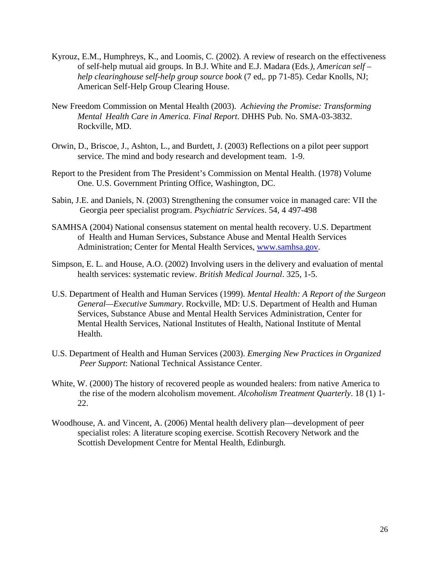- Kyrouz, E.M., Humphreys, K., and Loomis, C. (2002). A review of research on the effectiveness of self-help mutual aid groups. In B.J. White and E.J. Madara (Eds*.), American self – help clearinghouse self-help group source book* (7 ed,. pp 71-85). Cedar Knolls, NJ; American Self-Help Group Clearing House.
- New Freedom Commission on Mental Health (2003). *Achieving the Promise: Transforming Mental Health Care in America. Final Report*. DHHS Pub. No. SMA-03-3832. Rockville, MD.
- Orwin, D., Briscoe, J., Ashton, L., and Burdett, J. (2003) Reflections on a pilot peer support service. The mind and body research and development team. 1-9.
- Report to the President from The President's Commission on Mental Health. (1978) Volume One. U.S. Government Printing Office, Washington, DC.
- Sabin, J.E. and Daniels, N. (2003) Strengthening the consumer voice in managed care: VII the Georgia peer specialist program. *Psychiatric Services*. 54, 4 497-498
- SAMHSA (2004) National consensus statement on mental health recovery. U.S. Department of Health and Human Services, Substance Abuse and Mental Health Services Administration; Center for Mental Health Services, [www.samhsa.gov.](http://www.samhsa.gov/)
- Simpson, E. L. and House, A.O. (2002) Involving users in the delivery and evaluation of mental health services: systematic review. *British Medical Journal*. 325, 1-5.
- U.S. Department of Health and Human Services (1999). *Mental Health: A Report of the Surgeon General—Executive Summary*. Rockville, MD: U.S. Department of Health and Human Services, Substance Abuse and Mental Health Services Administration, Center for Mental Health Services, National Institutes of Health, National Institute of Mental Health.
- U.S. Department of Health and Human Services (2003). *Emerging New Practices in Organized Peer Support*: National Technical Assistance Center.
- White, W. (2000) The history of recovered people as wounded healers: from native America to the rise of the modern alcoholism movement. *Alcoholism Treatment Quarterly*. 18 (1) 1- 22.
- Woodhouse, A. and Vincent, A. (2006) Mental health delivery plan—development of peer specialist roles: A literature scoping exercise. Scottish Recovery Network and the Scottish Development Centre for Mental Health, Edinburgh.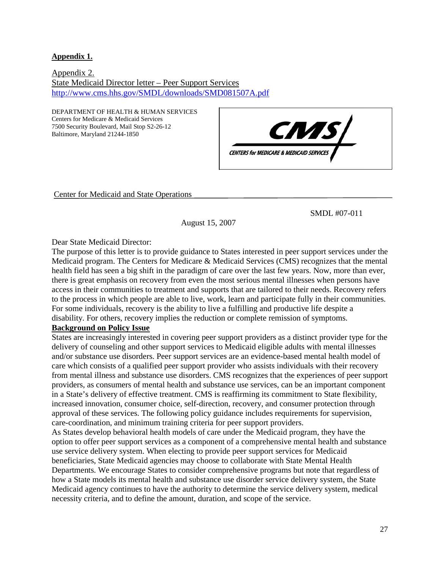**Appendix 1.**

Appendix 2. State Medicaid Director letter – Peer Support Services <http://www.cms.hhs.gov/SMDL/downloads/SMD081507A.pdf>

DEPARTMENT OF HEALTH & HUMAN SERVICES Centers for Medicare & Medicaid Services 7500 Security Boulevard, Mail Stop S2-26-12 Baltimore, Maryland 21244-1850



Center for Medicaid and State Operations

SMDL #07-011

August 15, 2007

Dear State Medicaid Director:

The purpose of this letter is to provide guidance to States interested in peer support services under the Medicaid program. The Centers for Medicare & Medicaid Services (CMS) recognizes that the mental health field has seen a big shift in the paradigm of care over the last few years. Now, more than ever, there is great emphasis on recovery from even the most serious mental illnesses when persons have access in their communities to treatment and supports that are tailored to their needs. Recovery refers to the process in which people are able to live, work, learn and participate fully in their communities. For some individuals, recovery is the ability to live a fulfilling and productive life despite a disability. For others, recovery implies the reduction or complete remission of symptoms.

## **Background on Policy Issue**

States are increasingly interested in covering peer support providers as a distinct provider type for the delivery of counseling and other support services to Medicaid eligible adults with mental illnesses and/or substance use disorders. Peer support services are an evidence-based mental health model of care which consists of a qualified peer support provider who assists individuals with their recovery from mental illness and substance use disorders. CMS recognizes that the experiences of peer support providers, as consumers of mental health and substance use services, can be an important component in a State's delivery of effective treatment. CMS is reaffirming its commitment to State flexibility, increased innovation, consumer choice, self-direction, recovery, and consumer protection through approval of these services. The following policy guidance includes requirements for supervision, care-coordination, and minimum training criteria for peer support providers.

As States develop behavioral health models of care under the Medicaid program, they have the option to offer peer support services as a component of a comprehensive mental health and substance use service delivery system. When electing to provide peer support services for Medicaid beneficiaries, State Medicaid agencies may choose to collaborate with State Mental Health Departments. We encourage States to consider comprehensive programs but note that regardless of how a State models its mental health and substance use disorder service delivery system, the State Medicaid agency continues to have the authority to determine the service delivery system, medical necessity criteria, and to define the amount, duration, and scope of the service.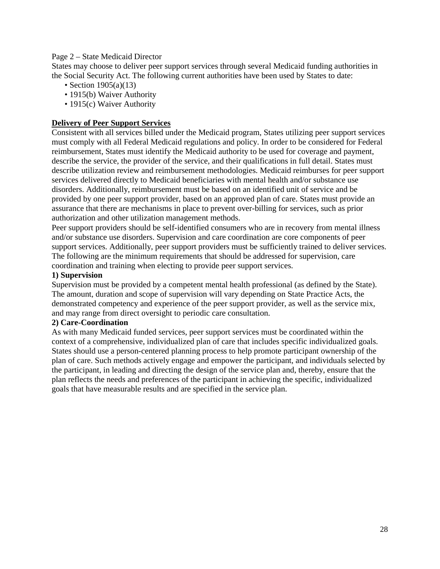#### Page 2 – State Medicaid Director

States may choose to deliver peer support services through several Medicaid funding authorities in the Social Security Act. The following current authorities have been used by States to date:

- Section 1905(a)(13)
- 1915(b) Waiver Authority
- 1915(c) Waiver Authority

## **Delivery of Peer Support Services**

Consistent with all services billed under the Medicaid program, States utilizing peer support services must comply with all Federal Medicaid regulations and policy. In order to be considered for Federal reimbursement, States must identify the Medicaid authority to be used for coverage and payment, describe the service, the provider of the service, and their qualifications in full detail. States must describe utilization review and reimbursement methodologies. Medicaid reimburses for peer support services delivered directly to Medicaid beneficiaries with mental health and/or substance use disorders. Additionally, reimbursement must be based on an identified unit of service and be provided by one peer support provider, based on an approved plan of care. States must provide an assurance that there are mechanisms in place to prevent over-billing for services, such as prior authorization and other utilization management methods.

Peer support providers should be self-identified consumers who are in recovery from mental illness and/or substance use disorders. Supervision and care coordination are core components of peer support services. Additionally, peer support providers must be sufficiently trained to deliver services. The following are the minimum requirements that should be addressed for supervision, care coordination and training when electing to provide peer support services.

#### **1) Supervision**

Supervision must be provided by a competent mental health professional (as defined by the State). The amount, duration and scope of supervision will vary depending on State Practice Acts, the demonstrated competency and experience of the peer support provider, as well as the service mix, and may range from direct oversight to periodic care consultation.

#### **2) Care-Coordination**

As with many Medicaid funded services, peer support services must be coordinated within the context of a comprehensive, individualized plan of care that includes specific individualized goals. States should use a person-centered planning process to help promote participant ownership of the plan of care. Such methods actively engage and empower the participant, and individuals selected by the participant, in leading and directing the design of the service plan and, thereby, ensure that the plan reflects the needs and preferences of the participant in achieving the specific, individualized goals that have measurable results and are specified in the service plan.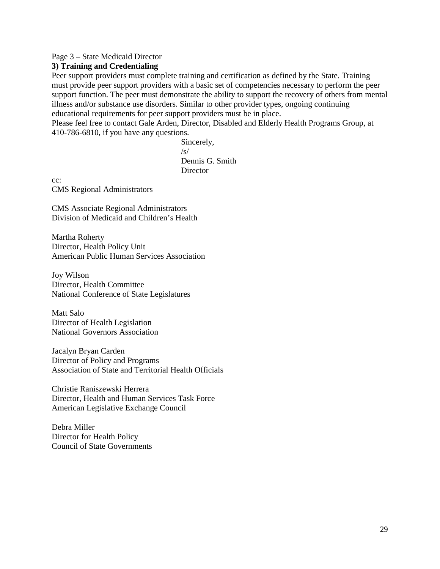#### Page 3 – State Medicaid Director

## **3) Training and Credentialing**

Peer support providers must complete training and certification as defined by the State. Training must provide peer support providers with a basic set of competencies necessary to perform the peer support function. The peer must demonstrate the ability to support the recovery of others from mental illness and/or substance use disorders. Similar to other provider types, ongoing continuing educational requirements for peer support providers must be in place.

Please feel free to contact Gale Arden, Director, Disabled and Elderly Health Programs Group, at 410-786-6810, if you have any questions.

> Sincerely,  $\sqrt{s}$ Dennis G. Smith **Director**

cc: CMS Regional Administrators

CMS Associate Regional Administrators Division of Medicaid and Children's Health

Martha Roherty Director, Health Policy Unit American Public Human Services Association

Joy Wilson Director, Health Committee National Conference of State Legislatures

Matt Salo Director of Health Legislation National Governors Association

Jacalyn Bryan Carden Director of Policy and Programs Association of State and Territorial Health Officials

Christie Raniszewski Herrera Director, Health and Human Services Task Force American Legislative Exchange Council

Debra Miller Director for Health Policy Council of State Governments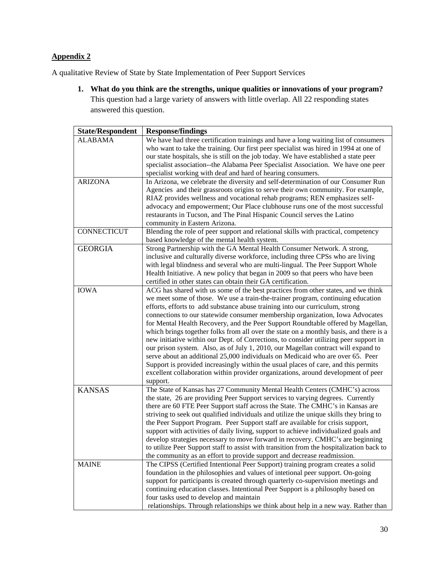## **Appendix 2**

A qualitative Review of State by State Implementation of Peer Support Services

**1. What do you think are the strengths, unique qualities or innovations of your program?** This question had a large variety of answers with little overlap. All 22 responding states answered this question.

| <b>State/Respondent</b> | <b>Response/findings</b>                                                                 |
|-------------------------|------------------------------------------------------------------------------------------|
| <b>ALABAMA</b>          | We have had three certification trainings and have a long waiting list of consumers      |
|                         | who want to take the training. Our first peer specialist was hired in 1994 at one of     |
|                         | our state hospitals, she is still on the job today. We have established a state peer     |
|                         |                                                                                          |
|                         | specialist association--the Alabama Peer Specialist Association. We have one peer        |
|                         | specialist working with deaf and hard of hearing consumers.                              |
| <b>ARIZONA</b>          | In Arizona, we celebrate the diversity and self-determination of our Consumer Run        |
|                         | Agencies and their grassroots origins to serve their own community. For example,         |
|                         | RIAZ provides wellness and vocational rehab programs; REN emphasizes self-               |
|                         | advocacy and empowerment; Our Place clubhouse runs one of the most successful            |
|                         | restaurants in Tucson, and The Pinal Hispanic Council serves the Latino                  |
|                         | community in Eastern Arizona.                                                            |
| CONNECTICUT             | Blending the role of peer support and relational skills with practical, competency       |
|                         | based knowledge of the mental health system.                                             |
| <b>GEORGIA</b>          | Strong Partnership with the GA Mental Health Consumer Network. A strong,                 |
|                         | inclusive and culturally diverse workforce, including three CPSs who are living          |
|                         | with legal blindness and several who are multi-lingual. The Peer Support Whole           |
|                         | Health Initiative. A new policy that began in 2009 so that peers who have been           |
|                         | certified in other states can obtain their GA certification.                             |
| <b>IOWA</b>             | ACG has shared with us some of the best practices from other states, and we think        |
|                         | we meet some of those. We use a train-the-trainer program, continuing education          |
|                         | efforts, efforts to add substance abuse training into our curriculum, strong             |
|                         | connections to our statewide consumer membership organization, Iowa Advocates            |
|                         | for Mental Health Recovery, and the Peer Support Roundtable offered by Magellan,         |
|                         | which brings together folks from all over the state on a monthly basis, and there is a   |
|                         | new initiative within our Dept. of Corrections, to consider utilizing peer support in    |
|                         | our prison system. Also, as of July 1, 2010, our Magellan contract will expand to        |
|                         | serve about an additional 25,000 individuals on Medicaid who are over 65. Peer           |
|                         | Support is provided increasingly within the usual places of care, and this permits       |
|                         | excellent collaboration within provider organizations, around development of peer        |
|                         |                                                                                          |
| <b>KANSAS</b>           | support.<br>The State of Kansas has 27 Community Mental Health Centers (CMHC's) across   |
|                         |                                                                                          |
|                         | the state, 26 are providing Peer Support services to varying degrees. Currently          |
|                         | there are 60 FTE Peer Support staff across the State. The CMHC's in Kansas are           |
|                         | striving to seek out qualified individuals and utilize the unique skills they bring to   |
|                         | the Peer Support Program. Peer Support staff are available for crisis support,           |
|                         | support with activities of daily living, support to achieve individualized goals and     |
|                         | develop strategies necessary to move forward in recovery. CMHC's are beginning           |
|                         | to utilize Peer Support staff to assist with transition from the hospitalization back to |
|                         | the community as an effort to provide support and decrease readmission.                  |
| <b>MAINE</b>            | The CIPSS (Certified Intentional Peer Support) training program creates a solid          |
|                         | foundation in the philosophies and values of intetional peer support. On-going           |
|                         | support for participants is created through quarterly co-supervision meetings and        |
|                         | continuing education classes. Intentional Peer Support is a philosophy based on          |
|                         | four tasks used to develop and maintain                                                  |
|                         | relationships. Through relationships we think about help in a new way. Rather than       |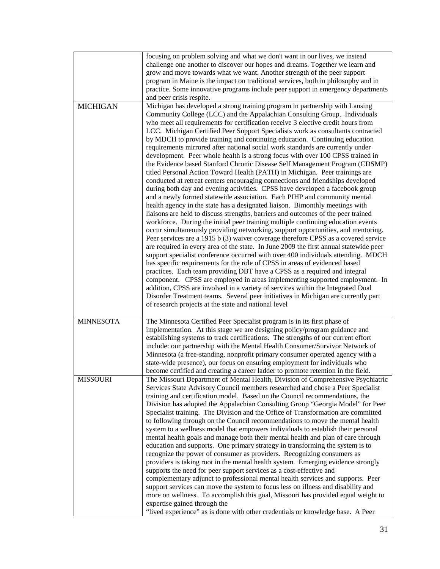|                  | focusing on problem solving and what we don't want in our lives, we instead<br>challenge one another to discover our hopes and dreams. Together we learn and<br>grow and move towards what we want. Another strength of the peer support<br>program in Maine is the impact on traditional services, both in philosophy and in<br>practice. Some innovative programs include peer support in emergency departments<br>and peer crisis respite.                                                                                                                                                                                                                                                                                                                                                                                                                                                                                                                                                                                                                                                                                                                                                                                                                                                                                                                                                                                                                                                                                                                                                                                                                                                                                                                                                                                                                                                                                                                                                                                    |
|------------------|----------------------------------------------------------------------------------------------------------------------------------------------------------------------------------------------------------------------------------------------------------------------------------------------------------------------------------------------------------------------------------------------------------------------------------------------------------------------------------------------------------------------------------------------------------------------------------------------------------------------------------------------------------------------------------------------------------------------------------------------------------------------------------------------------------------------------------------------------------------------------------------------------------------------------------------------------------------------------------------------------------------------------------------------------------------------------------------------------------------------------------------------------------------------------------------------------------------------------------------------------------------------------------------------------------------------------------------------------------------------------------------------------------------------------------------------------------------------------------------------------------------------------------------------------------------------------------------------------------------------------------------------------------------------------------------------------------------------------------------------------------------------------------------------------------------------------------------------------------------------------------------------------------------------------------------------------------------------------------------------------------------------------------|
| <b>MICHIGAN</b>  | Michigan has developed a strong training program in partnership with Lansing<br>Community College (LCC) and the Appalachian Consulting Group. Individuals<br>who meet all requirements for certification receive 3 elective credit hours from<br>LCC. Michigan Certified Peer Support Specialists work as consultants contracted<br>by MDCH to provide training and continuing education. Continuing education<br>requirements mirrored after national social work standards are currently under<br>development. Peer whole health is a strong focus with over 100 CPSS trained in<br>the Evidence based Stanford Chronic Disease Self Management Program (CDSMP)<br>titled Personal Action Toward Health (PATH) in Michigan. Peer trainings are<br>conducted at retreat centers encouraging connections and friendships developed<br>during both day and evening activities. CPSS have developed a facebook group<br>and a newly formed statewide association. Each PIHP and community mental<br>health agency in the state has a designated liaison. Bimonthly meetings with<br>liaisons are held to discuss strengths, barriers and outcomes of the peer trained<br>workforce. During the initial peer training multiple continuing education events<br>occur simultaneously providing networking, support opportunities, and mentoring.<br>Peer services are a 1915 b (3) waiver coverage therefore CPSS as a covered service<br>are required in every area of the state. In June 2009 the first annual statewide peer<br>support specialist conference occurred with over 400 individuals attending. MDCH<br>has specific requirements for the role of CPSS in areas of evidenced based<br>practices. Each team providing DBT have a CPSS as a required and integral<br>component. CPSS are employed in areas implementing supported employment. In<br>addition, CPSS are involved in a variety of services within the Integrated Dual<br>Disorder Treatment teams. Several peer initiatives in Michigan are currently part |
| <b>MINNESOTA</b> | of research projects at the state and national level<br>The Minnesota Certified Peer Specialist program is in its first phase of                                                                                                                                                                                                                                                                                                                                                                                                                                                                                                                                                                                                                                                                                                                                                                                                                                                                                                                                                                                                                                                                                                                                                                                                                                                                                                                                                                                                                                                                                                                                                                                                                                                                                                                                                                                                                                                                                                 |
|                  | implementation. At this stage we are designing policy/program guidance and<br>establishing systems to track certifications. The strengths of our current effort<br>include: our partnership with the Mental Health Consumer/Survivor Network of<br>Minnesota (a free-standing, nonprofit primary consumer operated agency with a<br>state-wide presence), our focus on ensuring employment for individuals who<br>become certified and creating a career ladder to promote retention in the field.                                                                                                                                                                                                                                                                                                                                                                                                                                                                                                                                                                                                                                                                                                                                                                                                                                                                                                                                                                                                                                                                                                                                                                                                                                                                                                                                                                                                                                                                                                                               |
| <b>MISSOURI</b>  | The Missouri Department of Mental Health, Division of Comprehensive Psychiatric<br>Services State Advisory Council members researched and chose a Peer Specialist<br>training and certification model. Based on the Council recommendations, the<br>Division has adopted the Appalachian Consulting Group "Georgia Model" for Peer<br>Specialist training. The Division and the Office of Transformation are committed<br>to following through on the Council recommendations to move the mental health<br>system to a wellness model that empowers individuals to establish their personal<br>mental health goals and manage both their mental health and plan of care through<br>education and supports. One primary strategy in transforming the system is to<br>recognize the power of consumer as providers. Recognizing consumers as<br>providers is taking root in the mental health system. Emerging evidence strongly<br>supports the need for peer support services as a cost-effective and<br>complementary adjunct to professional mental health services and supports. Peer<br>support services can move the system to focus less on illness and disability and<br>more on wellness. To accomplish this goal, Missouri has provided equal weight to<br>expertise gained through the<br>"lived experience" as is done with other credentials or knowledge base. A Peer                                                                                                                                                                                                                                                                                                                                                                                                                                                                                                                                                                                                                                               |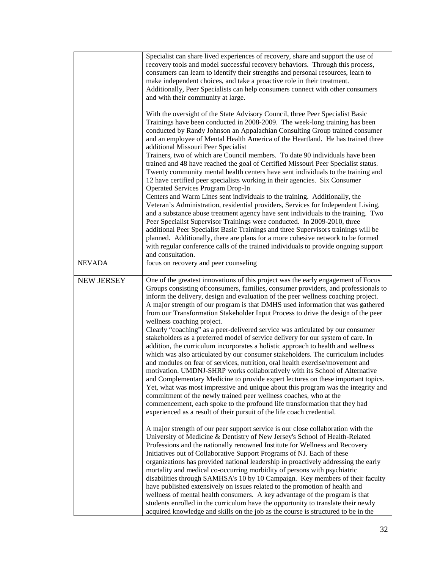|                   | Specialist can share lived experiences of recovery, share and support the use of<br>recovery tools and model successful recovery behaviors. Through this process,<br>consumers can learn to identify their strengths and personal resources, learn to<br>make independent choices, and take a proactive role in their treatment.<br>Additionally, Peer Specialists can help consumers connect with other consumers<br>and with their community at large.<br>With the oversight of the State Advisory Council, three Peer Specialist Basic                                                                                                                                                                                                                                                                                                                                                                                                                                                                                                                                                                                                                                                                                                                                                                                                                                              |
|-------------------|----------------------------------------------------------------------------------------------------------------------------------------------------------------------------------------------------------------------------------------------------------------------------------------------------------------------------------------------------------------------------------------------------------------------------------------------------------------------------------------------------------------------------------------------------------------------------------------------------------------------------------------------------------------------------------------------------------------------------------------------------------------------------------------------------------------------------------------------------------------------------------------------------------------------------------------------------------------------------------------------------------------------------------------------------------------------------------------------------------------------------------------------------------------------------------------------------------------------------------------------------------------------------------------------------------------------------------------------------------------------------------------|
|                   | Trainings have been conducted in 2008-2009. The week-long training has been<br>conducted by Randy Johnson an Appalachian Consulting Group trained consumer<br>and an employee of Mental Health America of the Heartland. He has trained three<br>additional Missouri Peer Specialist<br>Trainers, two of which are Council members. To date 90 individuals have been                                                                                                                                                                                                                                                                                                                                                                                                                                                                                                                                                                                                                                                                                                                                                                                                                                                                                                                                                                                                                   |
|                   | trained and 48 have reached the goal of Certified Missouri Peer Specialist status.<br>Twenty community mental health centers have sent individuals to the training and<br>12 have certified peer specialists working in their agencies. Six Consumer<br>Operated Services Program Drop-In<br>Centers and Warm Lines sent individuals to the training. Additionally, the                                                                                                                                                                                                                                                                                                                                                                                                                                                                                                                                                                                                                                                                                                                                                                                                                                                                                                                                                                                                                |
|                   | Veteran's Administration, residential providers, Services for Independent Living,<br>and a substance abuse treatment agency have sent individuals to the training. Two<br>Peer Specialist Supervisor Trainings were conducted. In 2009-2010, three<br>additional Peer Specialist Basic Trainings and three Supervisors trainings will be<br>planned. Additionally, there are plans for a more cohesive network to be formed<br>with regular conference calls of the trained individuals to provide ongoing support                                                                                                                                                                                                                                                                                                                                                                                                                                                                                                                                                                                                                                                                                                                                                                                                                                                                     |
| <b>NEVADA</b>     | and consultation.<br>focus on recovery and peer counseling                                                                                                                                                                                                                                                                                                                                                                                                                                                                                                                                                                                                                                                                                                                                                                                                                                                                                                                                                                                                                                                                                                                                                                                                                                                                                                                             |
| <b>NEW JERSEY</b> | One of the greatest innovations of this project was the early engagement of Focus<br>Groups consisting of:consumers, families, consumer providers, and professionals to<br>inform the delivery, design and evaluation of the peer wellness coaching project.<br>A major strength of our program is that DMHS used information that was gathered<br>from our Transformation Stakeholder Input Process to drive the design of the peer<br>wellness coaching project.<br>Clearly "coaching" as a peer-delivered service was articulated by our consumer<br>stakeholders as a preferred model of service delivery for our system of care. In<br>addition, the curriculum incorporates a holistic approach to health and wellness<br>which was also articulated by our consumer stakeholders. The curriculum includes<br>and modules on fear of services, nutrition, oral health exercise/movement and<br>motivation. UMDNJ-SHRP works collaboratively with its School of Alternative<br>and Complementary Medicine to provide expert lectures on these important topics.<br>Yet, what was most impressive and unique about this program was the integrity and<br>commitment of the newly trained peer wellness coaches, who at the<br>commencement, each spoke to the profound life transformation that they had<br>experienced as a result of their pursuit of the life coach credential. |
|                   | A major strength of our peer support service is our close collaboration with the<br>University of Medicine & Dentistry of New Jersey's School of Health-Related<br>Professions and the nationally renowned Institute for Wellness and Recovery<br>Initiatives out of Collaborative Support Programs of NJ. Each of these<br>organizations has provided national leadership in proactively addressing the early<br>mortality and medical co-occurring morbidity of persons with psychiatric<br>disabilities through SAMHSA's 10 by 10 Campaign. Key members of their faculty<br>have published extensively on issues related to the promotion of health and<br>wellness of mental health consumers. A key advantage of the program is that<br>students enrolled in the curriculum have the opportunity to translate their newly<br>acquired knowledge and skills on the job as the course is structured to be in the                                                                                                                                                                                                                                                                                                                                                                                                                                                                    |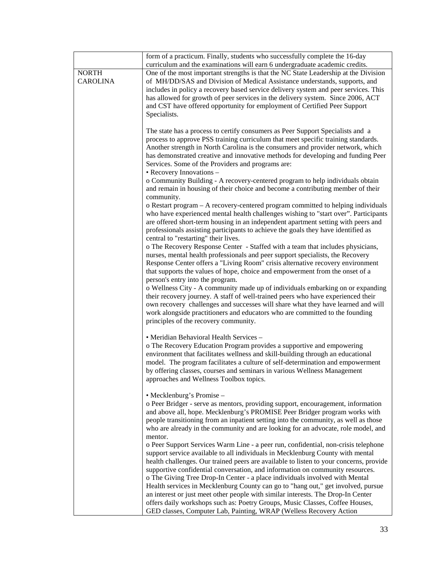|                                 | form of a practicum. Finally, students who successfully complete the 16-day                                                                                                                                                                                                                                                                                                                                                                                                                                                                                                                                                                                                                                                                                  |
|---------------------------------|--------------------------------------------------------------------------------------------------------------------------------------------------------------------------------------------------------------------------------------------------------------------------------------------------------------------------------------------------------------------------------------------------------------------------------------------------------------------------------------------------------------------------------------------------------------------------------------------------------------------------------------------------------------------------------------------------------------------------------------------------------------|
|                                 | curriculum and the examinations will earn 6 undergraduate academic credits.                                                                                                                                                                                                                                                                                                                                                                                                                                                                                                                                                                                                                                                                                  |
| <b>NORTH</b><br><b>CAROLINA</b> | One of the most important strengths is that the NC State Leadership at the Division<br>of MH/DD/SAS and Division of Medical Assistance understands, supports, and<br>includes in policy a recovery based service delivery system and peer services. This<br>has allowed for growth of peer services in the delivery system. Since 2006, ACT<br>and CST have offered opportunity for employment of Certified Peer Support<br>Specialists.                                                                                                                                                                                                                                                                                                                     |
|                                 | The state has a process to certify consumers as Peer Support Specialists and a<br>process to approve PSS training curriculum that meet specific training standards.<br>Another strength in North Carolina is the consumers and provider network, which<br>has demonstrated creative and innovative methods for developing and funding Peer<br>Services. Some of the Providers and programs are:<br>• Recovery Innovations –<br>o Community Building - A recovery-centered program to help individuals obtain<br>and remain in housing of their choice and become a contributing member of their                                                                                                                                                              |
|                                 | community.<br>o Restart program – A recovery-centered program committed to helping individuals<br>who have experienced mental health challenges wishing to "start over". Participants<br>are offered short-term housing in an independent apartment setting with peers and<br>professionals assisting participants to achieve the goals they have identified as<br>central to "restarting" their lives.                                                                                                                                                                                                                                                                                                                                                      |
|                                 | o The Recovery Response Center - Staffed with a team that includes physicians,<br>nurses, mental health professionals and peer support specialists, the Recovery<br>Response Center offers a "Living Room" crisis alternative recovery environment<br>that supports the values of hope, choice and empowerment from the onset of a<br>person's entry into the program.                                                                                                                                                                                                                                                                                                                                                                                       |
|                                 | o Wellness City - A community made up of individuals embarking on or expanding<br>their recovery journey. A staff of well-trained peers who have experienced their<br>own recovery challenges and successes will share what they have learned and will<br>work alongside practitioners and educators who are committed to the founding<br>principles of the recovery community.                                                                                                                                                                                                                                                                                                                                                                              |
|                                 | • Meridian Behavioral Health Services -<br>o The Recovery Education Program provides a supportive and empowering<br>environment that facilitates wellness and skill-building through an educational<br>model. The program facilitates a culture of self-determination and empowerment<br>by offering classes, courses and seminars in various Wellness Management<br>approaches and Wellness Toolbox topics.                                                                                                                                                                                                                                                                                                                                                 |
|                                 | • Mecklenburg's Promise -<br>o Peer Bridger - serve as mentors, providing support, encouragement, information<br>and above all, hope. Mecklenburg's PROMISE Peer Bridger program works with<br>people transitioning from an inpatient setting into the community, as well as those<br>who are already in the community and are looking for an advocate, role model, and<br>mentor.                                                                                                                                                                                                                                                                                                                                                                           |
|                                 | o Peer Support Services Warm Line - a peer run, confidential, non-crisis telephone<br>support service available to all individuals in Mecklenburg County with mental<br>health challenges. Our trained peers are available to listen to your concerns, provide<br>supportive confidential conversation, and information on community resources.<br>o The Giving Tree Drop-In Center - a place individuals involved with Mental<br>Health services in Mecklenburg County can go to "hang out," get involved, pursue<br>an interest or just meet other people with similar interests. The Drop-In Center<br>offers daily workshops such as: Poetry Groups, Music Classes, Coffee Houses,<br>GED classes, Computer Lab, Painting, WRAP (Welless Recovery Action |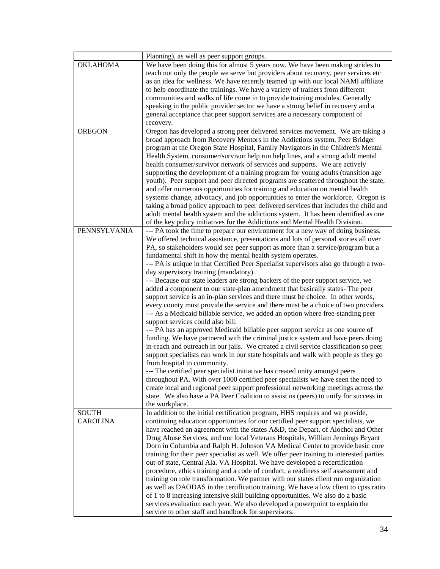|                 | Planning), as well as peer support groups.                                                                                                                                 |
|-----------------|----------------------------------------------------------------------------------------------------------------------------------------------------------------------------|
| OKLAHOMA        | We have been doing this for almost 5 years now. We have been making strides to                                                                                             |
|                 | teach not only the people we serve but providers about recovery, peer services etc                                                                                         |
|                 | as an idea for wellness. We have recently teamed up with our local NAMI affiliate                                                                                          |
|                 | to help coordinate the trainings. We have a variety of trainers from different                                                                                             |
|                 | communities and walks of life come in to provide training modules. Generally                                                                                               |
|                 | speaking in the public provider sector we have a strong belief in recovery and a                                                                                           |
|                 | general acceptance that peer support services are a necessary component of                                                                                                 |
|                 | recovery.                                                                                                                                                                  |
| <b>OREGON</b>   | Oregon has developed a strong peer delivered services movement. We are taking a                                                                                            |
|                 | broad approach from Recovery Mentors in the Addictions system, Peer Bridger                                                                                                |
|                 | program at the Oregon State Hospital, Family Navigators in the Children's Mental                                                                                           |
|                 | Health System, consumer/survivor help run help lines, and a strong adult mental                                                                                            |
|                 | health consumer/survivor network of services and supports. We are actively                                                                                                 |
|                 | supporting the development of a training program for young adults (transition age                                                                                          |
|                 | youth). Peer support and peer directed programs are scattered throughout the state,                                                                                        |
|                 | and offer numerous opportunities for training and education on mental health                                                                                               |
|                 | systems change, advocacy, and job opportunities to enter the workforce. Oregon is                                                                                          |
|                 | taking a broad policy approach to peer delivered services that includes the child and                                                                                      |
|                 | adult mental health system and the addictions system. It has been identified as one                                                                                        |
|                 | of the key policy initiatives for the Addictions and Mental Health Division.                                                                                               |
| PENNSYLVANIA    | --- PA took the time to prepare our environment for a new way of doing business.                                                                                           |
|                 | We offered technical assistance, presentations and lots of personal stories all over                                                                                       |
|                 | PA, so stakeholders would see peer support as more than a service/program but a                                                                                            |
|                 | fundamental shift in how the mental health system operates.                                                                                                                |
|                 | --- PA is unique in that Certified Peer Specialist supervisors also go through a two-                                                                                      |
|                 | day supervisory training (mandatory).                                                                                                                                      |
|                 | --- Because our state leaders are strong backers of the peer support service, we                                                                                           |
|                 | added a component to our state-plan amendment that basically states- The peer                                                                                              |
|                 | support service is an in-plan services and there must be choice. In other words,                                                                                           |
|                 | every county must provide the service and there must be a choice of two providers.                                                                                         |
|                 | --- As a Medicaid billable service, we added an option where free-standing peer                                                                                            |
|                 | support services could also bill.                                                                                                                                          |
|                 | --- PA has an approved Medicaid billable peer support service as one source of                                                                                             |
|                 | funding. We have partnered with the criminal justice system and have peers doing                                                                                           |
|                 | in-reach and outreach in our jails. We created a civil service classification so peer                                                                                      |
|                 | support specialists can work in our state hospitals and walk with people as they go                                                                                        |
|                 | from hospital to community.                                                                                                                                                |
|                 | --- The certified peer specialist initiative has created unity amongst peers                                                                                               |
|                 | throughout PA. With over 1000 certified peer specialists we have seen the need to                                                                                          |
|                 | create local and regional peer support professional networking meetings across the                                                                                         |
|                 | state. We also have a PA Peer Coalition to assist us (peers) to unify for success in                                                                                       |
|                 | the workplace.                                                                                                                                                             |
| <b>SOUTH</b>    | In addition to the initial certification program, HHS requires and we provide,                                                                                             |
| <b>CAROLINA</b> | continuing education opportunities for our certified peer support specialists, we                                                                                          |
|                 | have reached an agreement with the states A&D, the Depart. of Alochol and Other<br>Drug Abuse Services, and our local Veterans Hospitals, William Jennings Bryant          |
|                 | Dorn in Columbia and Ralph H. Johnson VA Medical Center to provide basic core                                                                                              |
|                 | training for their peer specialist as well. We offer peer training to interested parties                                                                                   |
|                 |                                                                                                                                                                            |
|                 | out-of state, Central Ala. VA Hospital. We have developed a recertification<br>procedure, ethics training and a code of conduct, a readiness self assessment and           |
|                 |                                                                                                                                                                            |
|                 | training on role transformation. We partner with our states client run organization<br>as well as DAODAS in the certification training. We have a low client to cpss ratio |
|                 | of 1 to 8 increasing intensive skill building opportunities. We also do a basic                                                                                            |
|                 | services evaluation each year. We also developed a powerpoint to explain the                                                                                               |
|                 | service to other staff and handbook for supervisors.                                                                                                                       |
|                 |                                                                                                                                                                            |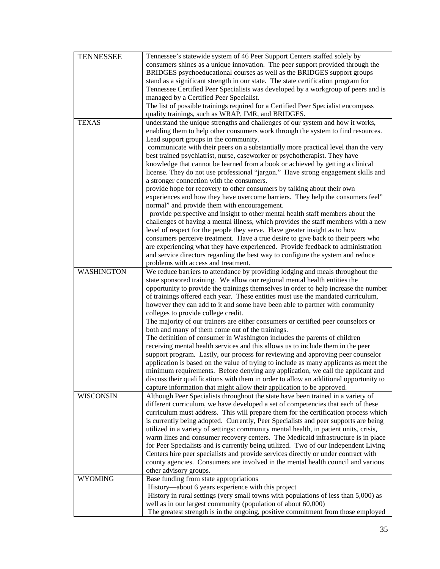| <b>TENNESSEE</b>  | Tennessee's statewide system of 46 Peer Support Centers staffed solely by                                                                                                |
|-------------------|--------------------------------------------------------------------------------------------------------------------------------------------------------------------------|
|                   | consumers shines as a unique innovation. The peer support provided through the                                                                                           |
|                   | BRIDGES psychoeducational courses as well as the BRIDGES support groups                                                                                                  |
|                   | stand as a significant strength in our state. The state certification program for                                                                                        |
|                   | Tennessee Certified Peer Specialists was developed by a workgroup of peers and is                                                                                        |
|                   | managed by a Certified Peer Specialist.                                                                                                                                  |
|                   | The list of possible trainings required for a Certified Peer Specialist encompass                                                                                        |
|                   | quality trainings, such as WRAP, IMR, and BRIDGES.                                                                                                                       |
| <b>TEXAS</b>      | understand the unique strengths and challenges of our system and how it works,                                                                                           |
|                   | enabling them to help other consumers work through the system to find resources.                                                                                         |
|                   | Lead support groups in the community.                                                                                                                                    |
|                   | communicate with their peers on a substantially more practical level than the very                                                                                       |
|                   | best trained psychiatrist, nurse, caseworker or psychotherapist. They have                                                                                               |
|                   | knowledge that cannot be learned from a book or achieved by getting a clinical                                                                                           |
|                   | license. They do not use professional "jargon." Have strong engagement skills and                                                                                        |
|                   | a stronger connection with the consumers.                                                                                                                                |
|                   | provide hope for recovery to other consumers by talking about their own                                                                                                  |
|                   | experiences and how they have overcome barriers. They help the consumers feel"                                                                                           |
|                   | normal" and provide them with encouragement.                                                                                                                             |
|                   | provide perspective and insight to other mental health staff members about the                                                                                           |
|                   | challenges of having a mental illness, which provides the staff members with a new                                                                                       |
|                   | level of respect for the people they serve. Have greater insight as to how                                                                                               |
|                   | consumers perceive treatment. Have a true desire to give back to their peers who                                                                                         |
|                   | are experiencing what they have experienced. Provide feedback to administration                                                                                          |
|                   | and service directors regarding the best way to configure the system and reduce                                                                                          |
|                   | problems with access and treatment.                                                                                                                                      |
| <b>WASHINGTON</b> | We reduce barriers to attendance by providing lodging and meals throughout the                                                                                           |
|                   | state sponsored training. We allow our regional mental health entities the                                                                                               |
|                   | opportunity to provide the trainings themselves in order to help increase the number                                                                                     |
|                   | of trainings offered each year. These entities must use the mandated curriculum,                                                                                         |
|                   | however they can add to it and some have been able to partner with community                                                                                             |
|                   | colleges to provide college credit.                                                                                                                                      |
|                   | The majority of our trainers are either consumers or certified peer counselors or                                                                                        |
|                   | both and many of them come out of the trainings.                                                                                                                         |
|                   | The definition of consumer in Washington includes the parents of children                                                                                                |
|                   | receiving mental health services and this allows us to include them in the peer                                                                                          |
|                   | support program. Lastly, our process for reviewing and approving peer counselor                                                                                          |
|                   | application is based on the value of trying to include as many applicants as meet the                                                                                    |
|                   | minimum requirements. Before denying any application, we call the applicant and                                                                                          |
|                   | discuss their qualifications with them in order to allow an additional opportunity to                                                                                    |
|                   | capture information that might allow their application to be approved.                                                                                                   |
| <b>WISCONSIN</b>  | Although Peer Specialists throughout the state have been trained in a variety of                                                                                         |
|                   | different curriculum, we have developed a set of competencies that each of these                                                                                         |
|                   | curriculum must address. This will prepare them for the certification process which                                                                                      |
|                   | is currently being adopted. Currently, Peer Specialists and peer supports are being                                                                                      |
|                   | utilized in a variety of settings: community mental health, in patient units, crisis,                                                                                    |
|                   | warm lines and consumer recovery centers. The Medicaid infrastructure is in place<br>for Peer Specialists and is currently being utilized. Two of our Independent Living |
|                   |                                                                                                                                                                          |
|                   | Centers hire peer specialists and provide services directly or under contract with<br>county agencies. Consumers are involved in the mental health council and various   |
|                   | other advisory groups.                                                                                                                                                   |
| <b>WYOMING</b>    | Base funding from state appropriations                                                                                                                                   |
|                   |                                                                                                                                                                          |
|                   |                                                                                                                                                                          |
|                   | History—about 6 years experience with this project                                                                                                                       |
|                   | History in rural settings (very small towns with populations of less than 5,000) as                                                                                      |
|                   | well as in our largest community (population of about 60,000)<br>The greatest strength is in the ongoing, positive commitment from those employed                        |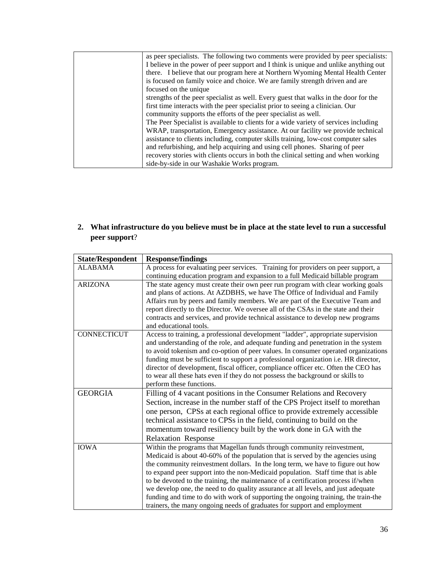| as peer specialists. The following two comments were provided by peer specialists:   |
|--------------------------------------------------------------------------------------|
| I believe in the power of peer support and I think is unique and unlike anything out |
| there. I believe that our program here at Northern Wyoming Mental Health Center      |
| is focused on family voice and choice. We are family strength driven and are         |
| focused on the unique                                                                |
| strengths of the peer specialist as well. Every guest that walks in the door for the |
| first time interacts with the peer specialist prior to seeing a clinician. Our       |
| community supports the efforts of the peer specialist as well.                       |
| The Peer Specialist is available to clients for a wide variety of services including |
| WRAP, transportation, Emergency assistance. At our facility we provide technical     |
| assistance to clients including, computer skills training, low-cost computer sales   |
| and refurbishing, and help acquiring and using cell phones. Sharing of peer          |
| recovery stories with clients occurs in both the clinical setting and when working   |
| side-by-side in our Washakie Works program.                                          |

**2. What infrastructure do you believe must be in place at the state level to run a successful peer support**?

| <b>State/Respondent</b> | <b>Response/findings</b>                                                                                                                                                                                                                                                                                                                           |
|-------------------------|----------------------------------------------------------------------------------------------------------------------------------------------------------------------------------------------------------------------------------------------------------------------------------------------------------------------------------------------------|
| <b>ALABAMA</b>          | A process for evaluating peer services. Training for providers on peer support, a                                                                                                                                                                                                                                                                  |
|                         | continuing education program and expansion to a full Medicaid billable program                                                                                                                                                                                                                                                                     |
| <b>ARIZONA</b>          | The state agency must create their own peer run program with clear working goals<br>and plans of actions. At AZDBHS, we have The Office of Individual and Family                                                                                                                                                                                   |
|                         | Affairs run by peers and family members. We are part of the Executive Team and<br>report directly to the Director. We oversee all of the CSAs in the state and their                                                                                                                                                                               |
|                         | contracts and services, and provide technical assistance to develop new programs<br>and educational tools.                                                                                                                                                                                                                                         |
| <b>CONNECTICUT</b>      | Access to training, a professional development "ladder", appropriate supervision<br>and understanding of the role, and adequate funding and penetration in the system<br>to avoid tokenism and co-option of peer values. In consumer operated organizations<br>funding must be sufficient to support a professional organization i.e. HR director, |
|                         | director of development, fiscal officer, compliance officer etc. Often the CEO has<br>to wear all these hats even if they do not possess the background or skills to<br>perform these functions.                                                                                                                                                   |
| <b>GEORGIA</b>          | Filling of 4 vacant positions in the Consumer Relations and Recovery<br>Section, increase in the number staff of the CPS Project itself to morethan                                                                                                                                                                                                |
|                         | one person, CPSs at each regional office to provide extremely accessible                                                                                                                                                                                                                                                                           |
|                         | technical assistance to CPSs in the field, continuing to build on the                                                                                                                                                                                                                                                                              |
|                         | momentum toward resiliency built by the work done in GA with the                                                                                                                                                                                                                                                                                   |
|                         | <b>Relaxation Response</b>                                                                                                                                                                                                                                                                                                                         |
| <b>IOWA</b>             | Within the programs that Magellan funds through community reinvestment,<br>Medicaid is about 40-60% of the population that is served by the agencies using                                                                                                                                                                                         |
|                         | the community reinvestment dollars. In the long term, we have to figure out how                                                                                                                                                                                                                                                                    |
|                         | to expand peer support into the non-Medicaid population. Staff time that is able                                                                                                                                                                                                                                                                   |
|                         | to be devoted to the training, the maintenance of a certification process if/when                                                                                                                                                                                                                                                                  |
|                         | we develop one, the need to do quality assurance at all levels, and just adequate                                                                                                                                                                                                                                                                  |
|                         | funding and time to do with work of supporting the ongoing training, the train-the<br>trainers, the many ongoing needs of graduates for support and employment                                                                                                                                                                                     |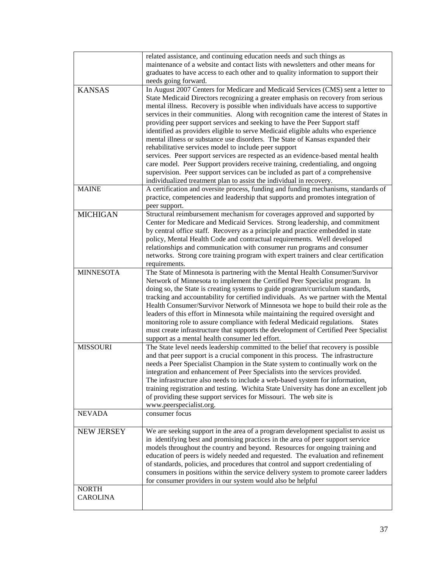|                   | related assistance, and continuing education needs and such things as                                                                                                  |
|-------------------|------------------------------------------------------------------------------------------------------------------------------------------------------------------------|
|                   | maintenance of a website and contact lists with newsletters and other means for                                                                                        |
|                   | graduates to have access to each other and to quality information to support their                                                                                     |
|                   | needs going forward.                                                                                                                                                   |
| <b>KANSAS</b>     | In August 2007 Centers for Medicare and Medicaid Services (CMS) sent a letter to                                                                                       |
|                   | State Medicaid Directors recognizing a greater emphasis on recovery from serious                                                                                       |
|                   | mental illness. Recovery is possible when individuals have access to supportive                                                                                        |
|                   | services in their communities. Along with recognition came the interest of States in                                                                                   |
|                   | providing peer support services and seeking to have the Peer Support staff                                                                                             |
|                   | identified as providers eligible to serve Medicaid eligible adults who experience<br>mental illness or substance use disorders. The State of Kansas expanded their     |
|                   | rehabilitative services model to include peer support                                                                                                                  |
|                   | services. Peer support services are respected as an evidence-based mental health                                                                                       |
|                   | care model. Peer Support providers receive training, credentialing, and ongoing                                                                                        |
|                   | supervision. Peer support services can be included as part of a comprehensive                                                                                          |
|                   | individualized treatment plan to assist the individual in recovery.                                                                                                    |
| <b>MAINE</b>      | A certification and oversite process, funding and funding mechanisms, standards of                                                                                     |
|                   | practice, competencies and leadership that supports and promotes integration of                                                                                        |
|                   | peer support.                                                                                                                                                          |
| <b>MICHIGAN</b>   | Structural reimbursement mechanism for coverages approved and supported by                                                                                             |
|                   | Center for Medicare and Medicaid Services. Strong leadership, and commitment                                                                                           |
|                   | by central office staff. Recovery as a principle and practice embedded in state                                                                                        |
|                   | policy, Mental Health Code and contractual requirements. Well developed                                                                                                |
|                   | relationships and communication with consumer run programs and consumer                                                                                                |
|                   | networks. Strong core training program with expert trainers and clear certification                                                                                    |
|                   | requirements.                                                                                                                                                          |
| <b>MINNESOTA</b>  | The State of Minnesota is partnering with the Mental Health Consumer/Survivor                                                                                          |
|                   | Network of Minnesota to implement the Certified Peer Specialist program. In                                                                                            |
|                   | doing so, the State is creating systems to guide program/curriculum standards,                                                                                         |
|                   | tracking and accountability for certified individuals. As we partner with the Mental                                                                                   |
|                   | Health Consumer/Survivor Network of Minnesota we hope to build their role as the                                                                                       |
|                   | leaders of this effort in Minnesota while maintaining the required oversight and                                                                                       |
|                   | monitoring role to assure compliance with federal Medicaid regulations. States                                                                                         |
|                   | must create infrastructure that supports the development of Certified Peer Specialist                                                                                  |
|                   | support as a mental health consumer led effort.                                                                                                                        |
| <b>MISSOURI</b>   | The State level needs leadership committed to the belief that recovery is possible<br>and that peer support is a crucial component in this process. The infrastructure |
|                   |                                                                                                                                                                        |
|                   | needs a Peer Specialist Champion in the State system to continually work on the                                                                                        |
|                   | integration and enhancement of Peer Specialists into the services provided.<br>The infrastructure also needs to include a web-based system for information,            |
|                   | training registration and testing. Wichita State University has done an excellent job                                                                                  |
|                   | of providing these support services for Missouri. The web site is                                                                                                      |
|                   | www.peerspecialist.org.                                                                                                                                                |
| <b>NEVADA</b>     | consumer focus                                                                                                                                                         |
|                   |                                                                                                                                                                        |
| <b>NEW JERSEY</b> | We are seeking support in the area of a program development specialist to assist us                                                                                    |
|                   | in identifying best and promising practices in the area of peer support service                                                                                        |
|                   | models throughout the country and beyond. Resources for ongoing training and                                                                                           |
|                   | education of peers is widely needed and requested. The evaluation and refinement                                                                                       |
|                   | of standards, policies, and procedures that control and support credentialing of                                                                                       |
|                   | consumers in positions within the service delivery system to promote career ladders                                                                                    |
|                   | for consumer providers in our system would also be helpful                                                                                                             |
| <b>NORTH</b>      |                                                                                                                                                                        |
| <b>CAROLINA</b>   |                                                                                                                                                                        |
|                   |                                                                                                                                                                        |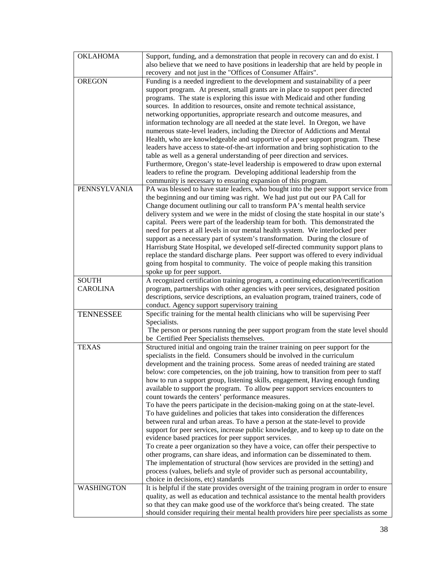| <b>OKLAHOMA</b>   | Support, funding, and a demonstration that people in recovery can and do exist. I        |
|-------------------|------------------------------------------------------------------------------------------|
|                   | also believe that we need to have positions in leadership that are held by people in     |
|                   | recovery and not just in the "Offices of Consumer Affairs".                              |
| <b>OREGON</b>     | Funding is a needed ingredient to the development and sustainability of a peer           |
|                   | support program. At present, small grants are in place to support peer directed          |
|                   | programs. The state is exploring this issue with Medicaid and other funding              |
|                   | sources. In addition to resources, onsite and remote technical assistance,               |
|                   | networking opportunities, appropriate research and outcome measures, and                 |
|                   | information technology are all needed at the state level. In Oregon, we have             |
|                   | numerous state-level leaders, including the Director of Addictions and Mental            |
|                   | Health, who are knowledgeable and supportive of a peer support program. These            |
|                   | leaders have access to state-of-the-art information and bring sophistication to the      |
|                   | table as well as a general understanding of peer direction and services.                 |
|                   | Furthermore, Oregon's state-level leadership is empowered to draw upon external          |
|                   | leaders to refine the program. Developing additional leadership from the                 |
|                   | community is necessary to ensuring expansion of this program.                            |
| PENNSYLVANIA      | PA was blessed to have state leaders, who bought into the peer support service from      |
|                   | the beginning and our timing was right. We had just put out our PA Call for              |
|                   | Change document outlining our call to transform PA's mental health service               |
|                   | delivery system and we were in the midst of closing the state hospital in our state's    |
|                   | capital. Peers were part of the leadership team for both. This demonstrated the          |
|                   | need for peers at all levels in our mental health system. We interlocked peer            |
|                   | support as a necessary part of system's transformation. During the closure of            |
|                   | Harrisburg State Hospital, we developed self-directed community support plans to         |
|                   | replace the standard discharge plans. Peer support was offered to every individual       |
|                   | going from hospital to community. The voice of people making this transition             |
|                   | spoke up for peer support.                                                               |
| <b>SOUTH</b>      | A recognized certification training program, a continuing education/recertification      |
| <b>CAROLINA</b>   | program, partnerships with other agencies with peer services, designated position        |
|                   | descriptions, service descriptions, an evaluation program, trained trainers, code of     |
|                   | conduct. Agency support supervisory training                                             |
| <b>TENNESSEE</b>  | Specific training for the mental health clinicians who will be supervising Peer          |
|                   | Specialists.                                                                             |
|                   | The person or persons running the peer support program from the state level should       |
|                   | be Certified Peer Specialists themselves.                                                |
| <b>TEXAS</b>      | Structured initial and ongoing train the trainer training on peer support for the        |
|                   | specialists in the field. Consumers should be involved in the curriculum                 |
|                   | development and the training process. Some areas of needed training are stated           |
|                   | below: core competencies, on the job training, how to transition from peer to staff      |
|                   | how to run a support group, listening skills, engagement, Having enough funding          |
|                   | available to support the program. To allow peer support services encounters to           |
|                   | count towards the centers' performance measures.                                         |
|                   | To have the peers participate in the decision-making going on at the state-level.        |
|                   | To have guidelines and policies that takes into consideration the differences            |
|                   | between rural and urban areas. To have a person at the state-level to provide            |
|                   | support for peer services, increase public knowledge, and to keep up to date on the      |
|                   | evidence based practices for peer support services.                                      |
|                   | To create a peer organization so they have a voice, can offer their perspective to       |
|                   | other programs, can share ideas, and information can be disseminated to them.            |
|                   | The implementation of structural (how services are provided in the setting) and          |
|                   | process (values, beliefs and style of provider such as personal accountability,          |
|                   | choice in decisions, etc) standards                                                      |
| <b>WASHINGTON</b> | It is helpful if the state provides oversight of the training program in order to ensure |
|                   | quality, as well as education and technical assistance to the mental health providers    |
|                   | so that they can make good use of the workforce that's being created. The state          |
|                   | should consider requiring their mental health providers hire peer specialists as some    |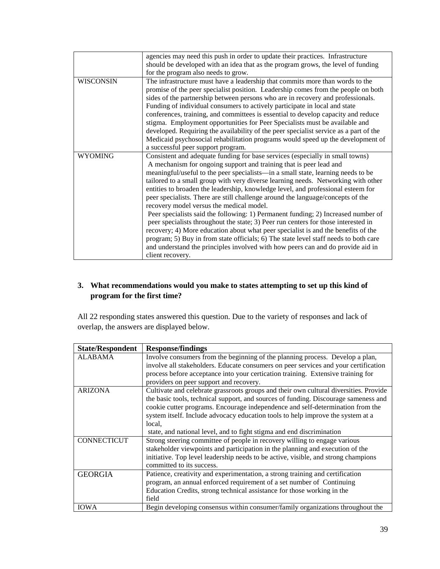|                  | agencies may need this push in order to update their practices. Infrastructure<br>should be developed with an idea that as the program grows, the level of funding<br>for the program also needs to grow.                                                                                                                                                                                                                                                                                                                                                                                                                                                                                                                                                                                                                                                                                                                                                                                                      |
|------------------|----------------------------------------------------------------------------------------------------------------------------------------------------------------------------------------------------------------------------------------------------------------------------------------------------------------------------------------------------------------------------------------------------------------------------------------------------------------------------------------------------------------------------------------------------------------------------------------------------------------------------------------------------------------------------------------------------------------------------------------------------------------------------------------------------------------------------------------------------------------------------------------------------------------------------------------------------------------------------------------------------------------|
| <b>WISCONSIN</b> | The infrastructure must have a leadership that commits more than words to the<br>promise of the peer specialist position. Leadership comes from the people on both<br>sides of the partnership between persons who are in recovery and professionals.<br>Funding of individual consumers to actively participate in local and state<br>conferences, training, and committees is essential to develop capacity and reduce<br>stigma. Employment opportunities for Peer Specialists must be available and<br>developed. Requiring the availability of the peer specialist service as a part of the<br>Medicaid psychosocial rehabilitation programs would speed up the development of<br>a successful peer support program.                                                                                                                                                                                                                                                                                      |
| <b>WYOMING</b>   | Consistent and adequate funding for base services (especially in small towns)<br>A mechanism for ongoing support and training that is peer lead and<br>meaningful/useful to the peer specialists—in a small state, learning needs to be<br>tailored to a small group with very diverse learning needs. Networking with other<br>entities to broaden the leadership, knowledge level, and professional esteem for<br>peer specialists. There are still challenge around the language/concepts of the<br>recovery model versus the medical model.<br>Peer specialists said the following: 1) Permanent funding; 2) Increased number of<br>peer specialists throughout the state; 3) Peer run centers for those interested in<br>recovery; 4) More education about what peer specialist is and the benefits of the<br>program; 5) Buy in from state officials; 6) The state level staff needs to both care<br>and understand the principles involved with how peers can and do provide aid in<br>client recovery. |

## **3. What recommendations would you make to states attempting to set up this kind of program for the first time?**

All 22 responding states answered this question. Due to the variety of responses and lack of overlap, the answers are displayed below.

| <b>State/Respondent</b> | <b>Response/findings</b>                                                                                                                                                                                                                                                                                                                                                                                                             |
|-------------------------|--------------------------------------------------------------------------------------------------------------------------------------------------------------------------------------------------------------------------------------------------------------------------------------------------------------------------------------------------------------------------------------------------------------------------------------|
| <b>ALABAMA</b>          | Involve consumers from the beginning of the planning process. Develop a plan,<br>involve all stakeholders. Educate consumers on peer services and your certification<br>process before acceptance into your certication training. Extensive training for<br>providers on peer support and recovery.                                                                                                                                  |
| <b>ARIZONA</b>          | Cultivate and celebrate grassroots groups and their own cultural diversities. Provide<br>the basic tools, technical support, and sources of funding. Discourage sameness and<br>cookie cutter programs. Encourage independence and self-determination from the<br>system itself. Include advocacy education tools to help improve the system at a<br>local.<br>state, and national level, and to fight stigma and end discrimination |
| <b>CONNECTICUT</b>      | Strong steering committee of people in recovery willing to engage various<br>stakeholder viewpoints and participation in the planning and execution of the<br>initiative. Top level leadership needs to be active, visible, and strong champions<br>committed to its success.                                                                                                                                                        |
| <b>GEORGIA</b>          | Patience, creativity and experimentation, a strong training and certification<br>program, an annual enforced requirement of a set number of Continuing<br>Education Credits, strong technical assistance for those working in the<br>field                                                                                                                                                                                           |
| <b>IOWA</b>             | Begin developing consensus within consumer/family organizations throughout the                                                                                                                                                                                                                                                                                                                                                       |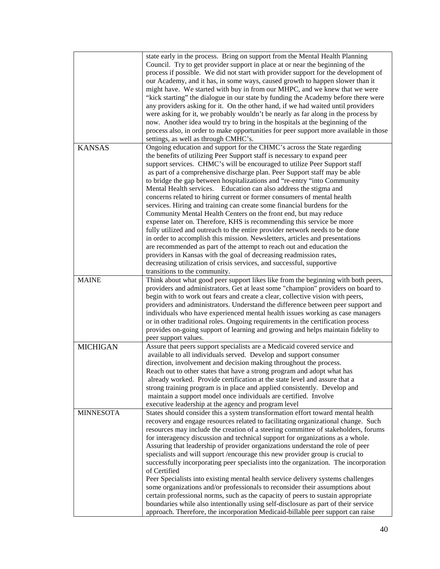|                  | state early in the process. Bring on support from the Mental Health Planning          |
|------------------|---------------------------------------------------------------------------------------|
|                  | Council. Try to get provider support in place at or near the beginning of the         |
|                  | process if possible. We did not start with provider support for the development of    |
|                  | our Academy, and it has, in some ways, caused growth to happen slower than it         |
|                  | might have. We started with buy in from our MHPC, and we knew that we were            |
|                  | "kick starting" the dialogue in our state by funding the Academy before there were    |
|                  |                                                                                       |
|                  | any providers asking for it. On the other hand, if we had waited until providers      |
|                  | were asking for it, we probably wouldn't be nearly as far along in the process by     |
|                  | now. Another idea would try to bring in the hospitals at the beginning of the         |
|                  | process also, in order to make opportunities for peer support more available in those |
|                  | settings, as well as through CMHC's.                                                  |
| <b>KANSAS</b>    | Ongoing education and support for the CHMC's across the State regarding               |
|                  | the benefits of utilizing Peer Support staff is necessary to expand peer              |
|                  | support services. CHMC's will be encouraged to utilize Peer Support staff             |
|                  | as part of a comprehensive discharge plan. Peer Support staff may be able             |
|                  | to bridge the gap between hospitalizations and "re-entry "into Community              |
|                  | Mental Health services. Education can also address the stigma and                     |
|                  | concerns related to hiring current or former consumers of mental health               |
|                  | services. Hiring and training can create some financial burdens for the               |
|                  | Community Mental Health Centers on the front end, but may reduce                      |
|                  | expense later on. Therefore, KHS is recommending this service be more                 |
|                  | fully utilized and outreach to the entire provider network needs to be done           |
|                  | in order to accomplish this mission. Newsletters, articles and presentations          |
|                  | are recommended as part of the attempt to reach out and education the                 |
|                  | providers in Kansas with the goal of decreasing readmission rates,                    |
|                  | decreasing utilization of crisis services, and successful, supportive                 |
|                  | transitions to the community.                                                         |
| <b>MAINE</b>     | Think about what good peer support likes like from the beginning with both peers,     |
|                  | providers and administrators. Get at least some "champion" providers on board to      |
|                  | begin with to work out fears and create a clear, collective vision with peers,        |
|                  | providers and administrators. Understand the difference between peer support and      |
|                  | individuals who have experienced mental health issues working as case managers        |
|                  | or in other traditional roles. Ongoing requirements in the certification process      |
|                  | provides on-going support of learning and growing and helps maintain fidelity to      |
|                  | peer support values.                                                                  |
| MICHIGAN         | Assure that peers support specialists are a Medicaid covered service and              |
|                  | available to all individuals served. Develop and support consumer                     |
|                  | direction, involvement and decision making throughout the process.                    |
|                  | Reach out to other states that have a strong program and adopt what has               |
|                  | already worked. Provide certification at the state level and assure that a            |
|                  | strong training program is in place and applied consistently. Develop and             |
|                  | maintain a support model once individuals are certified. Involve                      |
|                  | executive leadership at the agency and program level                                  |
| <b>MINNESOTA</b> | States should consider this a system transformation effort toward mental health       |
|                  | recovery and engage resources related to facilitating organizational change. Such     |
|                  | resources may include the creation of a steering committee of stakeholders, forums    |
|                  | for interagency discussion and technical support for organizations as a whole.        |
|                  | Assuring that leadership of provider organizations understand the role of peer        |
|                  | specialists and will support / encourage this new provider group is crucial to        |
|                  | successfully incorporating peer specialists into the organization. The incorporation  |
|                  | of Certified                                                                          |
|                  | Peer Specialists into existing mental health service delivery systems challenges      |
|                  | some organizations and/or professionals to reconsider their assumptions about         |
|                  | certain professional norms, such as the capacity of peers to sustain appropriate      |
|                  | boundaries while also intentionally using self-disclosure as part of their service    |
|                  | approach. Therefore, the incorporation Medicaid-billable peer support can raise       |
|                  |                                                                                       |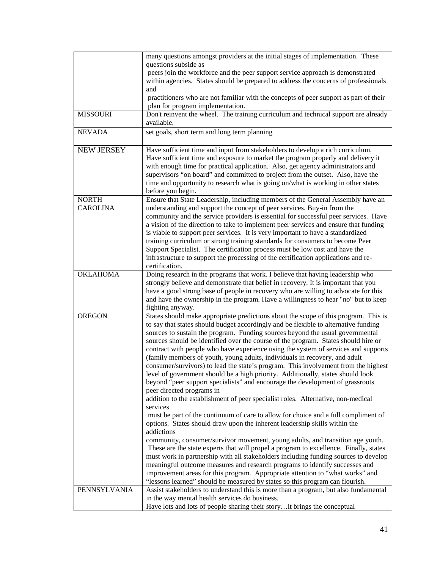|                   | many questions amongst providers at the initial stages of implementation. These                                                                                      |
|-------------------|----------------------------------------------------------------------------------------------------------------------------------------------------------------------|
|                   | questions subside as                                                                                                                                                 |
|                   | peers join the workforce and the peer support service approach is demonstrated                                                                                       |
|                   | within agencies. States should be prepared to address the concerns of professionals                                                                                  |
|                   | and                                                                                                                                                                  |
|                   | practitioners who are not familiar with the concepts of peer support as part of their                                                                                |
|                   | plan for program implementation.                                                                                                                                     |
| <b>MISSOURI</b>   | Don't reinvent the wheel. The training curriculum and technical support are already<br>available.                                                                    |
| <b>NEVADA</b>     | set goals, short term and long term planning                                                                                                                         |
| <b>NEW JERSEY</b> | Have sufficient time and input from stakeholders to develop a rich curriculum.                                                                                       |
|                   | Have sufficient time and exposure to market the program properly and delivery it                                                                                     |
|                   | with enough time for practical application. Also, get agency administrators and                                                                                      |
|                   | supervisors "on board" and committed to project from the outset. Also, have the                                                                                      |
|                   | time and opportunity to research what is going on/what is working in other states                                                                                    |
|                   | before you begin.                                                                                                                                                    |
| <b>NORTH</b>      | Ensure that State Leadership, including members of the General Assembly have an                                                                                      |
| <b>CAROLINA</b>   | understanding and support the concept of peer services. Buy-in from the                                                                                              |
|                   | community and the service providers is essential for successful peer services. Have                                                                                  |
|                   | a vision of the direction to take to implement peer services and ensure that funding                                                                                 |
|                   | is viable to support peer services. It is very important to have a standardized                                                                                      |
|                   | training curriculum or strong training standards for consumers to become Peer                                                                                        |
|                   | Support Specialist. The certification process must be low cost and have the                                                                                          |
|                   | infrastructure to support the processing of the certification applications and re-                                                                                   |
| <b>OKLAHOMA</b>   | certification.                                                                                                                                                       |
|                   | Doing research in the programs that work. I believe that having leadership who<br>strongly believe and demonstrate that belief in recovery. It is important that you |
|                   | have a good strong base of people in recovery who are willing to advocate for this                                                                                   |
|                   | and have the ownership in the program. Have a willingness to hear "no" but to keep                                                                                   |
|                   | fighting anyway.                                                                                                                                                     |
| <b>OREGON</b>     | States should make appropriate predictions about the scope of this program. This is                                                                                  |
|                   | to say that states should budget accordingly and be flexible to alternative funding                                                                                  |
|                   | sources to sustain the program. Funding sources beyond the usual governmental                                                                                        |
|                   | sources should be identified over the course of the program. States should hire or                                                                                   |
|                   | contract with people who have experience using the system of services and supports                                                                                   |
|                   | (family members of youth, young adults, individuals in recovery, and adult                                                                                           |
|                   | consumer/survivors) to lead the state's program. This involvement from the highest                                                                                   |
|                   | level of government should be a high priority. Additionally, states should look                                                                                      |
|                   | beyond "peer support specialists" and encourage the development of grassroots                                                                                        |
|                   | peer directed programs in                                                                                                                                            |
|                   | addition to the establishment of peer specialist roles. Alternative, non-medical                                                                                     |
|                   | services                                                                                                                                                             |
|                   | must be part of the continuum of care to allow for choice and a full compliment of                                                                                   |
|                   | options. States should draw upon the inherent leadership skills within the<br>addictions                                                                             |
|                   | community, consumer/survivor movement, young adults, and transition age youth.                                                                                       |
|                   | These are the state experts that will propel a program to excellence. Finally, states                                                                                |
|                   | must work in partnership with all stakeholders including funding sources to develop                                                                                  |
|                   | meaningful outcome measures and research programs to identify successes and                                                                                          |
|                   | improvement areas for this program. Appropriate attention to "what works" and                                                                                        |
|                   | "lessons learned" should be measured by states so this program can flourish.                                                                                         |
| PENNSYLVANIA      | Assist stakeholders to understand this is more than a program, but also fundamental                                                                                  |
|                   | in the way mental health services do business.                                                                                                                       |
|                   | Have lots and lots of people sharing their storyit brings the conceptual                                                                                             |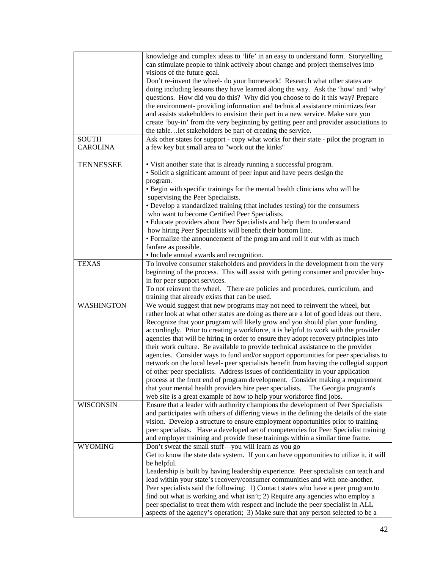|                   | knowledge and complex ideas to 'life' in an easy to understand form. Storytelling        |
|-------------------|------------------------------------------------------------------------------------------|
|                   | can stimulate people to think actively about change and project themselves into          |
|                   | visions of the future goal.                                                              |
|                   | Don't re-invent the wheel- do your homework! Research what other states are              |
|                   | doing including lessons they have learned along the way. Ask the 'how' and 'why'         |
|                   | questions. How did you do this? Why did you choose to do it this way? Prepare            |
|                   |                                                                                          |
|                   | the environment- providing information and technical assistance minimizes fear           |
|                   | and assists stakeholders to envision their part in a new service. Make sure you          |
|                   | create 'buy-in' from the very beginning by getting peer and provider associations to     |
|                   | the tablelet stakeholders be part of creating the service.                               |
| <b>SOUTH</b>      | Ask other states for support - copy what works for their state - pilot the program in    |
| <b>CAROLINA</b>   | a few key but small area to "work out the kinks"                                         |
|                   |                                                                                          |
| <b>TENNESSEE</b>  | • Visit another state that is already running a successful program.                      |
|                   | • Solicit a significant amount of peer input and have peers design the                   |
|                   | program.                                                                                 |
|                   | • Begin with specific trainings for the mental health clinicians who will be             |
|                   | supervising the Peer Specialists.                                                        |
|                   | • Develop a standardized training (that includes testing) for the consumers              |
|                   | who want to become Certified Peer Specialists.                                           |
|                   | · Educate providers about Peer Specialists and help them to understand                   |
|                   | how hiring Peer Specialists will benefit their bottom line.                              |
|                   | • Formalize the announcement of the program and roll it out with as much                 |
|                   |                                                                                          |
|                   | fanfare as possible.                                                                     |
|                   | · Include annual awards and recognition.                                                 |
| <b>TEXAS</b>      | To involve consumer stakeholders and providers in the development from the very          |
|                   | beginning of the process. This will assist with getting consumer and provider buy-       |
|                   | in for peer support services.                                                            |
|                   | To not reinvent the wheel. There are policies and procedures, curriculum, and            |
|                   | training that already exists that can be used.                                           |
| <b>WASHINGTON</b> | We would suggest that new programs may not need to reinvent the wheel, but               |
|                   | rather look at what other states are doing as there are a lot of good ideas out there.   |
|                   | Recognize that your program will likely grow and you should plan your funding            |
|                   | accordingly. Prior to creating a workforce, it is helpful to work with the provider      |
|                   | agencies that will be hiring in order to ensure they adopt recovery principles into      |
|                   | their work culture. Be available to provide technical assistance to the provider         |
|                   | agencies. Consider ways to fund and/or support opportunities for peer specialists to     |
|                   | network on the local level- peer specialists benefit from having the collegial support   |
|                   | of other peer specialists. Address issues of confidentiality in your application         |
|                   | process at the front end of program development. Consider making a requirement           |
|                   | that your mental health providers hire peer specialists. The Georgia program's           |
|                   | web site is a great example of how to help your workforce find jobs.                     |
| <b>WISCONSIN</b>  | Ensure that a leader with authority champions the development of Peer Specialists        |
|                   |                                                                                          |
|                   | and participates with others of differing views in the defining the details of the state |
|                   | vision. Develop a structure to ensure employment opportunities prior to training         |
|                   | peer specialists. Have a developed set of competencies for Peer Specialist training      |
|                   | and employer training and provide these trainings within a similar time frame.           |
| <b>WYOMING</b>    | Don't sweat the small stuff-you will learn as you go                                     |
|                   | Get to know the state data system. If you can have opportunities to utilize it, it will  |
|                   | be helpful.                                                                              |
|                   |                                                                                          |
|                   | Leadership is built by having leadership experience. Peer specialists can teach and      |
|                   | lead within your state's recovery/consumer communities and with one-another.             |
|                   | Peer specialists said the following: 1) Contact states who have a peer program to        |
|                   | find out what is working and what isn't; 2) Require any agencies who employ a            |
|                   | peer specialist to treat them with respect and include the peer specialist in ALL        |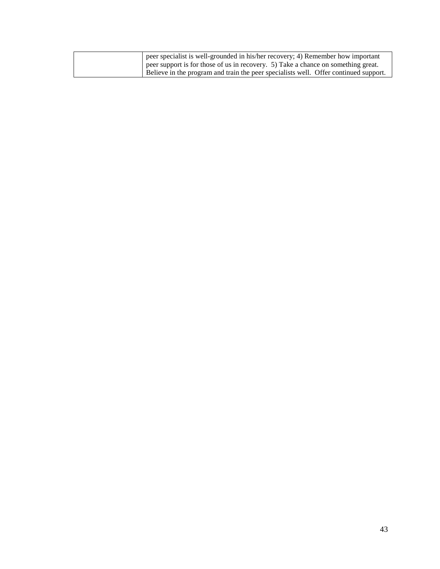| peer specialist is well-grounded in his/her recovery; 4) Remember how important      |
|--------------------------------------------------------------------------------------|
| peer support is for those of us in recovery. 5) Take a chance on something great.    |
| Believe in the program and train the peer specialists well. Offer continued support. |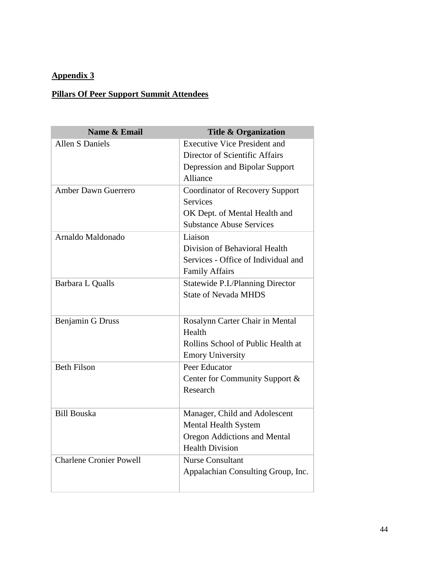## **Appendix 3**

## **Pillars Of Peer Support Summit Attendees**

| Name & Email                   | <b>Title &amp; Organization</b>         |
|--------------------------------|-----------------------------------------|
| <b>Allen S Daniels</b>         | <b>Executive Vice President and</b>     |
|                                | Director of Scientific Affairs          |
|                                | Depression and Bipolar Support          |
|                                | Alliance                                |
| <b>Amber Dawn Guerrero</b>     | <b>Coordinator of Recovery Support</b>  |
|                                | <b>Services</b>                         |
|                                | OK Dept. of Mental Health and           |
|                                | <b>Substance Abuse Services</b>         |
| Arnaldo Maldonado              | Liaison                                 |
|                                | Division of Behavioral Health           |
|                                | Services - Office of Individual and     |
|                                | <b>Family Affairs</b>                   |
| Barbara L Qualls               | <b>Statewide P.I./Planning Director</b> |
|                                | <b>State of Nevada MHDS</b>             |
|                                |                                         |
| <b>Benjamin G Druss</b>        | Rosalynn Carter Chair in Mental         |
|                                | Health                                  |
|                                | Rollins School of Public Health at      |
|                                | <b>Emory University</b>                 |
| <b>Beth Filson</b>             | Peer Educator                           |
|                                | Center for Community Support &          |
|                                | Research                                |
|                                |                                         |
| <b>Bill Bouska</b>             | Manager, Child and Adolescent           |
|                                | <b>Mental Health System</b>             |
|                                | <b>Oregon Addictions and Mental</b>     |
|                                | <b>Health Division</b>                  |
| <b>Charlene Cronier Powell</b> | <b>Nurse Consultant</b>                 |
|                                | Appalachian Consulting Group, Inc.      |
|                                |                                         |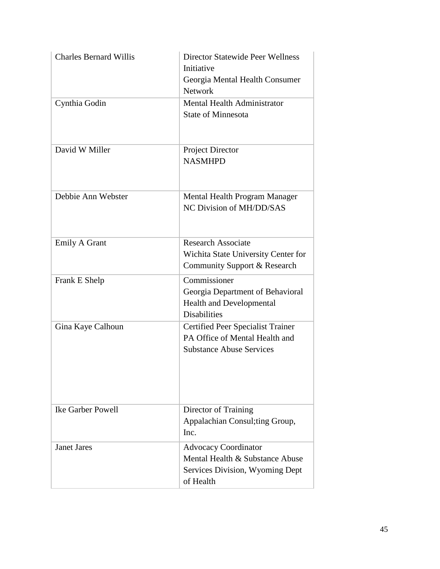| <b>Charles Bernard Willis</b> | <b>Director Statewide Peer Wellness</b><br>Initiative<br>Georgia Mental Health Consumer<br><b>Network</b>      |
|-------------------------------|----------------------------------------------------------------------------------------------------------------|
| Cynthia Godin                 | Mental Health Administrator<br><b>State of Minnesota</b>                                                       |
| David W Miller                | <b>Project Director</b><br><b>NASMHPD</b>                                                                      |
| Debbie Ann Webster            | Mental Health Program Manager<br>NC Division of MH/DD/SAS                                                      |
| <b>Emily A Grant</b>          | <b>Research Associate</b><br>Wichita State University Center for<br>Community Support & Research               |
| Frank E Shelp                 | Commissioner<br>Georgia Department of Behavioral<br><b>Health and Developmental</b><br><b>Disabilities</b>     |
| Gina Kaye Calhoun             | Certified Peer Specialist Trainer<br>PA Office of Mental Health and<br><b>Substance Abuse Services</b>         |
| <b>Ike Garber Powell</b>      | Director of Training<br>Appalachian Consul; ting Group,<br>Inc.                                                |
| <b>Janet Jares</b>            | <b>Advocacy Coordinator</b><br>Mental Health & Substance Abuse<br>Services Division, Wyoming Dept<br>of Health |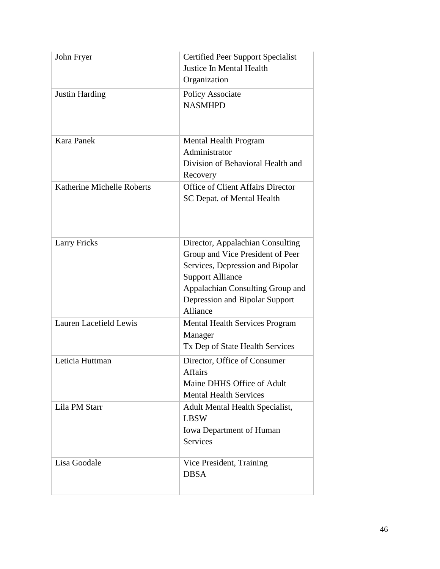| John Fryer                 | Certified Peer Support Specialist<br><b>Justice In Mental Health</b><br>Organization                                                                                                                                  |
|----------------------------|-----------------------------------------------------------------------------------------------------------------------------------------------------------------------------------------------------------------------|
| <b>Justin Harding</b>      | Policy Associate<br><b>NASMHPD</b>                                                                                                                                                                                    |
| <b>Kara Panek</b>          | Mental Health Program<br>Administrator<br>Division of Behavioral Health and<br>Recovery                                                                                                                               |
| Katherine Michelle Roberts | <b>Office of Client Affairs Director</b><br>SC Depat. of Mental Health                                                                                                                                                |
| <b>Larry Fricks</b>        | Director, Appalachian Consulting<br>Group and Vice President of Peer<br>Services, Depression and Bipolar<br><b>Support Alliance</b><br>Appalachian Consulting Group and<br>Depression and Bipolar Support<br>Alliance |
| Lauren Lacefield Lewis     | <b>Mental Health Services Program</b><br>Manager<br>Tx Dep of State Health Services                                                                                                                                   |
| Leticia Huttman            | Director, Office of Consumer<br>Affairs<br>Maine DHHS Office of Adult<br><b>Mental Health Services</b>                                                                                                                |
| Lila PM Starr              | Adult Mental Health Specialist,<br><b>LBSW</b><br><b>Iowa Department of Human</b><br><b>Services</b>                                                                                                                  |
| Lisa Goodale               | Vice President, Training<br><b>DBSA</b>                                                                                                                                                                               |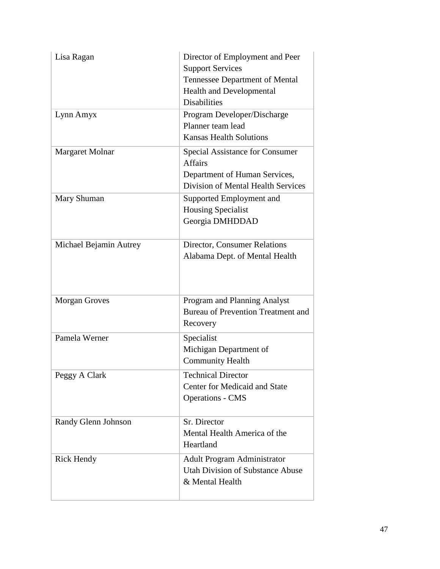| Lisa Ragan             | Director of Employment and Peer<br><b>Support Services</b><br>Tennessee Department of Mental<br><b>Health and Developmental</b><br><b>Disabilities</b> |
|------------------------|--------------------------------------------------------------------------------------------------------------------------------------------------------|
| Lynn Amyx              | Program Developer/Discharge<br>Planner team lead<br><b>Kansas Health Solutions</b>                                                                     |
| <b>Margaret Molnar</b> | Special Assistance for Consumer<br><b>Affairs</b><br>Department of Human Services,<br>Division of Mental Health Services                               |
| Mary Shuman            | Supported Employment and<br><b>Housing Specialist</b><br>Georgia DMHDDAD                                                                               |
| Michael Bejamin Autrey | Director, Consumer Relations<br>Alabama Dept. of Mental Health                                                                                         |
| <b>Morgan Groves</b>   | Program and Planning Analyst<br><b>Bureau of Prevention Treatment and</b><br>Recovery                                                                  |
| Pamela Werner          | Specialist<br>Michigan Department of<br><b>Community Health</b>                                                                                        |
| Peggy A Clark          | <b>Technical Director</b><br><b>Center for Medicaid and State</b><br><b>Operations - CMS</b>                                                           |
| Randy Glenn Johnson    | Sr. Director<br>Mental Health America of the<br>Heartland                                                                                              |
| <b>Rick Hendy</b>      | <b>Adult Program Administrator</b><br><b>Utah Division of Substance Abuse</b><br>& Mental Health                                                       |